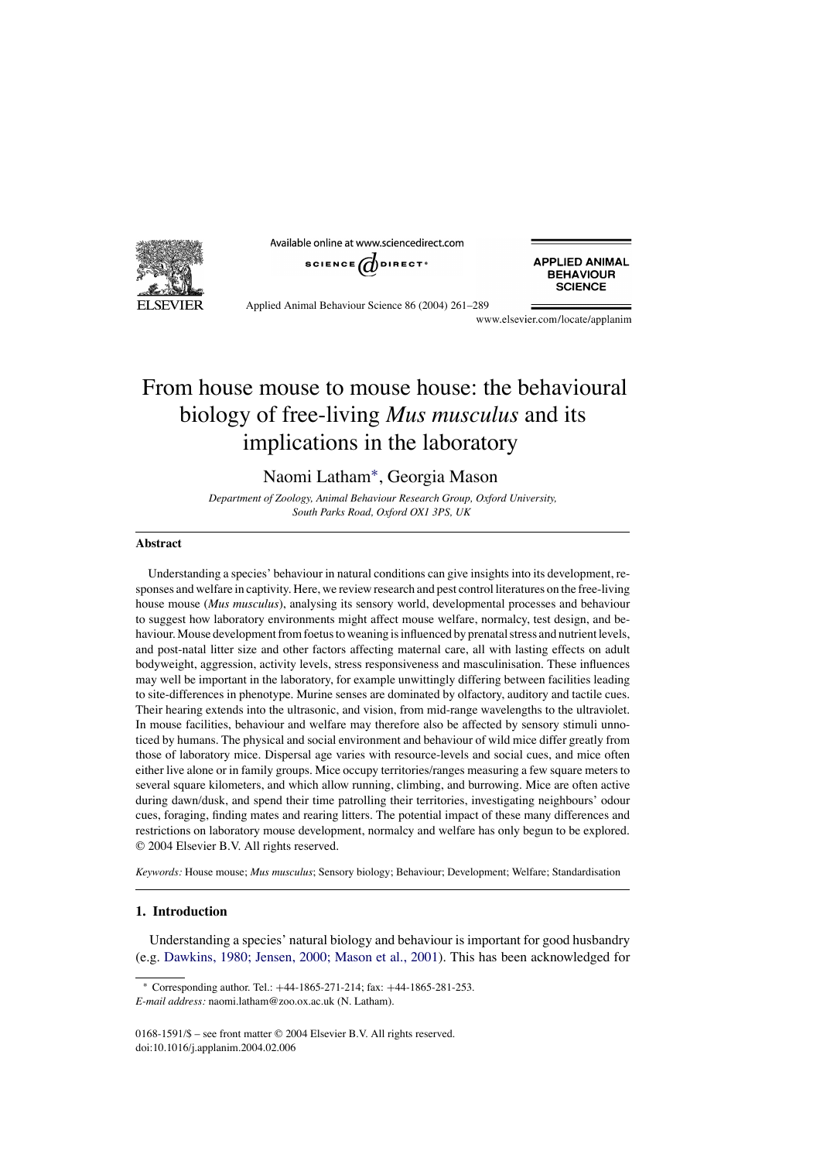**EI SEVIER** 

Available online at www.sciencedirect.com



**APPLIED ANIMAL BEHAVIOUR SCIENCE** 

Applied Animal Behaviour Science 86 (2004) 261–289

www.elsevier.com/locate/applanim

# From house mouse to mouse house: the behavioural biology of free-living *Mus musculus* and its implications in the laboratory

## Naomi Latham∗, Georgia Mason

*Department of Zoology, Animal Behaviour Research Group, Oxford University, South Parks Road, Oxford OX1 3PS, UK*

## **Abstract**

Understanding a species' behaviour in natural conditions can give insights into its development, responses and welfare in captivity. Here, we review research and pest control literatures on the free-living house mouse (*Mus musculus*), analysing its sensory world, developmental processes and behaviour to suggest how laboratory environments might affect mouse welfare, normalcy, test design, and behaviour. Mouse development from foetus to weaning is influenced by prenatal stress and nutrient levels, and post-natal litter size and other factors affecting maternal care, all with lasting effects on adult bodyweight, aggression, activity levels, stress responsiveness and masculinisation. These influences may well be important in the laboratory, for example unwittingly differing between facilities leading to site-differences in phenotype. Murine senses are dominated by olfactory, auditory and tactile cues. Their hearing extends into the ultrasonic, and vision, from mid-range wavelengths to the ultraviolet. In mouse facilities, behaviour and welfare may therefore also be affected by sensory stimuli unnoticed by humans. The physical and social environment and behaviour of wild mice differ greatly from those of laboratory mice. Dispersal age varies with resource-levels and social cues, and mice often either live alone or in family groups. Mice occupy territories/ranges measuring a few square meters to several square kilometers, and which allow running, climbing, and burrowing. Mice are often active during dawn/dusk, and spend their time patrolling their territories, investigating neighbours' odour cues, foraging, finding mates and rearing litters. The potential impact of these many differences and restrictions on laboratory mouse development, normalcy and welfare has only begun to be explored. © 2004 Elsevier B.V. All rights reserved.

*Keywords:* House mouse; *Mus musculus*; Sensory biology; Behaviour; Development; Welfare; Standardisation

#### **1. Introduction**

Understanding a species' natural biology and behaviour is important for good husbandry (e.g. [Dawkins,](#page-21-0) 1980; Jensen, 2000; Mason et al., 2001). This has been acknowledged for

<sup>∗</sup> Corresponding author. Tel.: +44-1865-271-214; fax: +44-1865-281-253. *E-mail address:* naomi.latham@zoo.ox.ac.uk (N. Latham).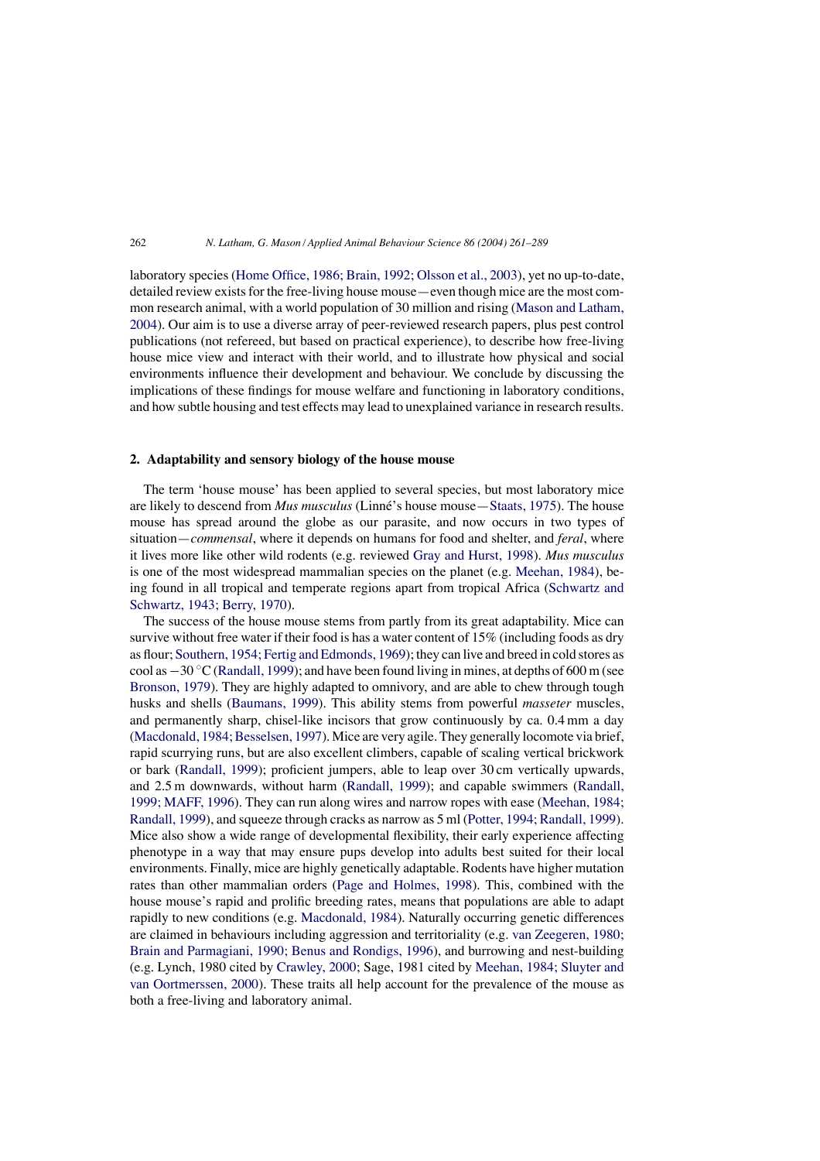laboratory species (Home Office, 1986; Brain, 1992; [Olsson](#page-23-0) et al., 2003), yet no up-to-date, detailed review exists for the free-living house mouse—even though mice are the most common research animal, with a world population of 30 million and rising (Mason and [Latham,](#page-25-0) [2004\).](#page-25-0) Our aim is to use a diverse array of peer-reviewed research papers, plus pest control publications (not refereed, but based on practical experience), to describe how free-living house mice view and interact with their world, and to illustrate how physical and social environments influence their development and behaviour. We conclude by discussing the implications of these findings for mouse welfare and functioning in laboratory conditions, and how subtle housing and test effects may lead to unexplained variance in research results.

#### **2. Adaptability and sensory biology of the house mouse**

The term 'house mouse' has been applied to several species, but most laboratory mice are likely to descend from *Mus musculus* (Linné's house mouse[—Staats,](#page-27-0) 1975). The house mouse has spread around the globe as our parasite, and now occurs in two types of situation—*commensal*, where it depends on humans for food and shelter, and *feral*, where it lives more like other wild rodents (e.g. reviewed Gray and [Hurst,](#page-22-0) 1998). *Mus musculus* is one of the most widespread mammalian species on the planet (e.g. [Meehan,](#page-25-1) 1984), being found in all tropical and temperate regions apart from tropical Africa [\(Schwartz](#page-26-0) and [Schwartz,](#page-26-0) 1943; Berry, 1970).

The success of the house mouse stems from partly from its great adaptability. Mice can survive without free water if their food is has a water content of 15% (including foods as dry as flour; Southern, 1954; Fertig and [Edmonds,](#page-27-1) 1969); they can live and breed in cold stores as cool as −30 ◦C[\(Randall,](#page-26-1) 1999); and have been found living in mines, at depths of 600 m (see [Bronson,](#page-20-0) 1979). They are highly adapted to omnivory, and are able to chew through tough husks and shells ([Baumans,](#page-20-1) 1999). This ability stems from powerful *masseter* muscles, and permanently sharp, chisel-like incisors that grow continuously by ca. 0.4 mm a day (Macdonald, 1984; Besselsen, 1997). Mice are very agile. They generally locomote via brief, rapid scurrying runs, but are also excellent climbers, capable of scaling vertical brickwork or bark [\(Randall,](#page-26-1) 1999); proficient jumpers, able to leap over 30 cm vertically upwards, and 2.5 m downwards, without harm ([Randall,](#page-26-1) 1999); and capable swimmers [\(Randall,](#page-26-1) 1999; [MAFF,](#page-26-1) 1996). They can run along wires and narrow ropes with ease [\(Meehan,](#page-25-1) 1984; [Randall,](#page-25-1) 1999), and squeeze through cracks as narrow as 5 ml (Potter, 1994; [Randall,](#page-26-2) 1999). Mice also show a wide range of developmental flexibility, their early experience affecting phenotype in a way that may ensure pups develop into adults best suited for their local environments. Finally, mice are highly genetically adaptable. Rodents have higher mutation rates than other mammalian orders (Page and [Holmes,](#page-25-2) 1998). This, combined with the house mouse's rapid and prolific breeding rates, means that populations are able to adapt rapidly to new conditions (e.g. [Macdonald,](#page-24-0) 1984). Naturally occurring genetic differences are claimed in behaviours including aggression and territoriality (e.g. van [Zeegeren,](#page-27-2) 1980; Brain and [Parmagiani,](#page-27-2) 1990; Benus and Rondigs, 1996), and burrowing and nest-building (e.g. Lynch, 1980 cited by [Crawley,](#page-21-1) 2000; Sage, 1981 cited by [Meehan,](#page-25-1) 1984; Sluyter and van [Oortmerssen,](#page-25-1) 2000). These traits all help account for the prevalence of the mouse as both a free-living and laboratory animal.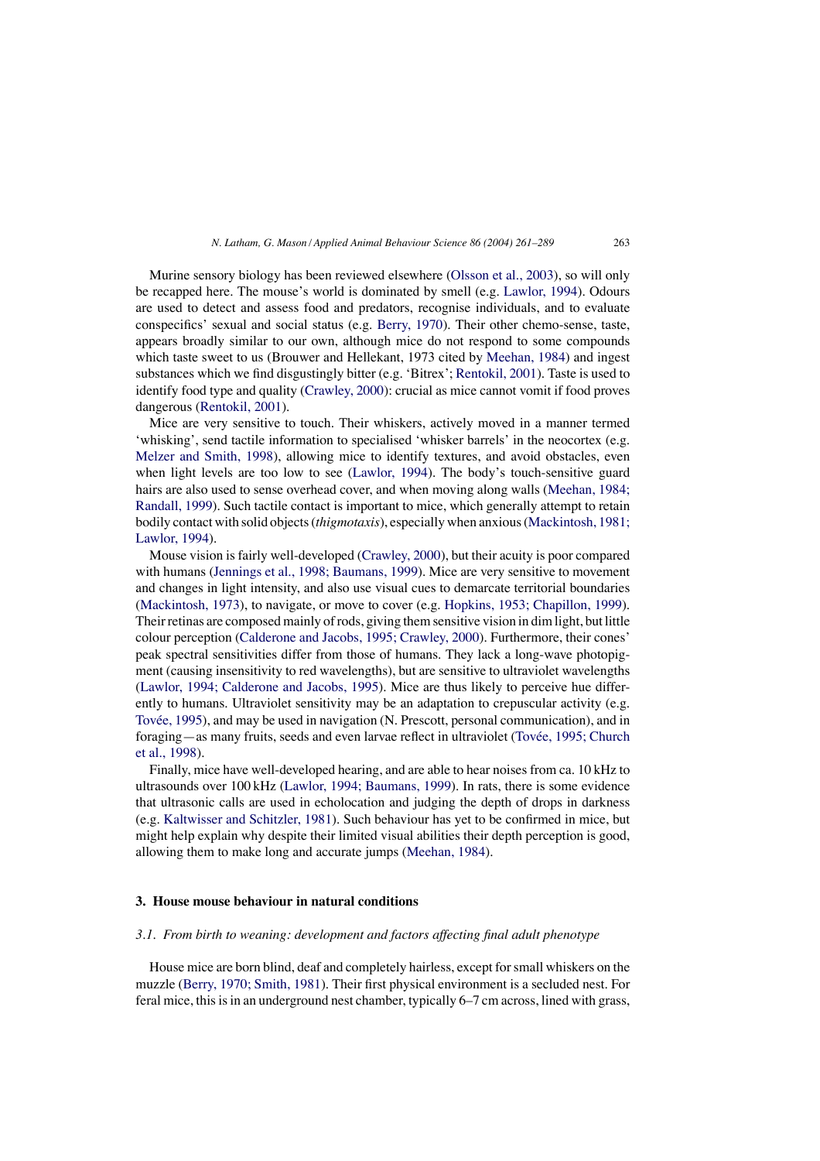Murine sensory biology has been reviewed elsewhere [\(Olsson](#page-25-3) et al., 2003), so will only be recapped here. The mouse's world is dominated by smell (e.g. [Lawlor,](#page-24-1) 1994). Odours are used to detect and assess food and predators, recognise individuals, and to evaluate conspecifics' sexual and social status (e.g. Berry, [1970\).](#page-20-2) Their other chemo-sense, taste, appears broadly similar to our own, although mice do not respond to some compounds which taste sweet to us (Brouwer and Hellekant, 1973 cited by [Meehan,](#page-25-1) 1984) and ingest substances which we find disgustingly bitter (e.g. 'Bitrex'; [Rentokil,](#page-26-3) 2001). Taste is used to identify food type and quality [\(Crawley,](#page-21-1) 2000): crucial as mice cannot vomit if food proves dangerous [\(Rentokil,](#page-26-3) 2001).

Mice are very sensitive to touch. Their whiskers, actively moved in a manner termed 'whisking', send tactile information to specialised 'whisker barrels' in the neocortex (e.g. [Melzer](#page-25-4) and Smith, 1998), allowing mice to identify textures, and avoid obstacles, even when light levels are too low to see ([Lawlor,](#page-24-1) 1994). The body's touch-sensitive guard hairs are also used to sense overhead cover, and when moving along walls ([Meehan,](#page-25-1) 1984; [Randall,](#page-25-1) 1999). Such tactile contact is important to mice, which generally attempt to retain bodily contact with solid objects(*thigmotaxis*), especially when anxious[\(Mackintosh,](#page-24-2) 1981; [Lawlor,](#page-24-2) 1994).

Mouse vision is fairly well-developed ([Crawley,](#page-21-1) 2000), but their acuity is poor compared with humans (Jennings et al., 1998; [Baumans,](#page-23-1) 1999). Mice are very sensitive to movement and changes in light intensity, and also use visual cues to demarcate territorial boundaries ([Mackintosh,](#page-24-3) 1973), to navigate, or move to cover (e.g. Hopkins, 1953; [Chapillon,](#page-23-2) 1999). Their retinas are composed mainly of rods, giving them sensitive vision in dim light, but little colour perception ([Calderone](#page-21-2) and Jacobs, 1995; Crawley, 2000). Furthermore, their cones' peak spectral sensitivities differ from those of humans. They lack a long-wave photopigment (causing insensitivity to red wavelengths), but are sensitive to ultraviolet wavelengths (Lawlor, 1994; [Calderone](#page-24-1) and Jacobs, 1995). Mice are thus likely to perceive hue differently to humans. Ultraviolet sensitivity may be an adaptation to crepuscular activity (e.g. [Tovée,](#page-27-3) 1995), and may be used in navigation (N. Prescott, personal communication), and in foraging—as many fruits, seeds and even larvae reflect in ultraviolet (Tovée, 1995; [Church](#page-27-3) et al., [1998\).](#page-27-3)

Finally, mice have well-developed hearing, and are able to hear noises from ca. 10 kHz to ultrasounds over 100 kHz (Lawlor, 1994; [Baumans,](#page-24-1) 1999). In rats, there is some evidence that ultrasonic calls are used in echolocation and judging the depth of drops in darkness (e.g. [Kaltwisser](#page-23-3) and Schitzler, 1981). Such behaviour has yet to be confirmed in mice, but might help explain why despite their limited visual abilities their depth perception is good, allowing them to make long and accurate jumps [\(Meehan,](#page-25-1) 1984).

#### **3. House mouse behaviour in natural conditions**

## *3.1. From birth to weaning: development and factors affecting final adult phenotype*

House mice are born blind, deaf and completely hairless, except forsmall whiskers on the muzzle (Berry, 1970; [Smith,](#page-20-2) 1981). Their first physical environment is a secluded nest. For feral mice, thisisin an underground nest chamber, typically 6–7 cm across, lined with grass,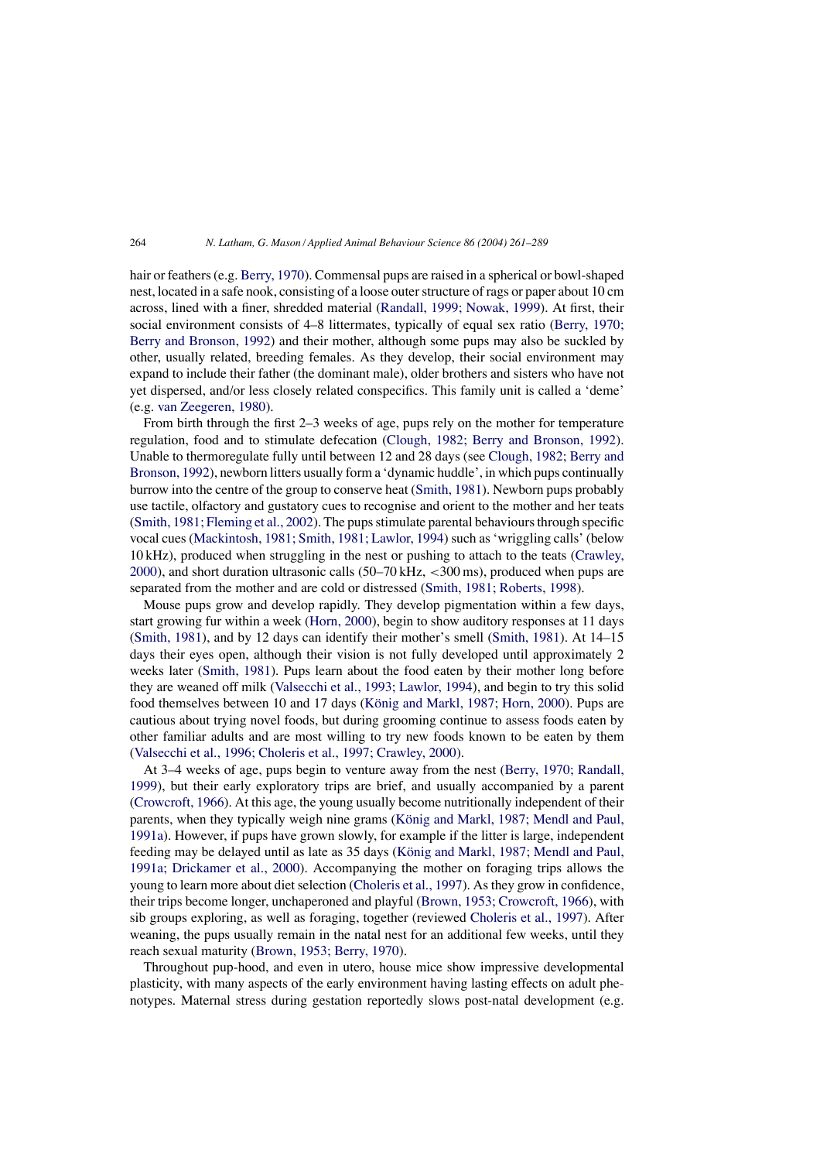hair or feathers(e.g. Berry, [1970\).](#page-20-2) Commensal pups are raised in a spherical or bowl-shaped nest, located in a safe nook, consisting of a loose outer structure of rags or paper about 10 cm across, lined with a finer, shredded material [\(Randall,](#page-26-1) 1999; Nowak, 1999). At first, their social environment consists of 4–8 littermates, typically of equal sex ratio [\(Berry,](#page-20-2) 1970; Berry and [Bronson,](#page-20-2) 1992) and their mother, although some pups may also be suckled by other, usually related, breeding females. As they develop, their social environment may expand to include their father (the dominant male), older brothers and sisters who have not yet dispersed, and/or less closely related conspecifics. This family unit is called a 'deme' (e.g. van [Zeegeren,](#page-27-2) 1980).

From birth through the first 2–3 weeks of age, pups rely on the mother for temperature regulation, food and to stimulate defecation (Clough, 1982; Berry and [Bronson,](#page-21-3) 1992). Unable to thermoregulate fully until between 12 and 28 days (see [Clough,](#page-21-3) 1982; Berry and [Bronson,](#page-21-3) 1992), newborn litters usually form a 'dynamic huddle', in which pups continually burrow into the centre of the group to conserve heat ([Smith,](#page-27-4) 1981). Newborn pups probably use tactile, olfactory and gustatory cues to recognise and orient to the mother and her teats (Smith, 1981; [Fleming](#page-27-4) et al., 2002). The pups stimulate parental behaviours through specific vocal cues [\(Mackintosh,](#page-24-2) 1981; Smith, 1981; Lawlor, 1994) such as 'wriggling calls' (below 10 kHz), produced when struggling in the nest or pushing to attach to the teats ([Crawley,](#page-21-1) [2000\),](#page-21-1) and short duration ultrasonic calls  $(50-70 \text{ kHz}, \langle 300 \text{ ms})$ , produced when pups are separated from the mother and are cold or distressed (Smith, 1981; [Roberts,](#page-27-4) 1998).

Mouse pups grow and develop rapidly. They develop pigmentation within a few days, start growing fur within a week (Horn, [2000\),](#page-23-4) begin to show auditory responses at 11 days [\(Smith,](#page-27-4) 1981), and by 12 days can identify their mother's smell [\(Smith,](#page-27-4) 1981). At 14–15 days their eyes open, although their vision is not fully developed until approximately 2 weeks later ([Smith,](#page-27-4) 1981). Pups learn about the food eaten by their mother long before they are weaned off milk [\(Valsecchi](#page-27-5) et al., 1993; Lawlor, 1994), and begin to try this solid food themselves between 10 and 17 days (König and [Markl,](#page-24-4) 1987; Horn, 2000). Pups are cautious about trying novel foods, but during grooming continue to assess foods eaten by other familiar adults and are most willing to try new foods known to be eaten by them [\(Valsecchi](#page-27-6) et al., 1996; Choleris et al., 1997; Crawley, 2000).

At 3–4 weeks of age, pups begin to venture away from the nest (Berry, 1970; [Randall,](#page-20-2) [1999\),](#page-20-2) but their early exploratory trips are brief, and usually accompanied by a parent [\(Crowcroft,](#page-21-4) 1966). At this age, the young usually become nutritionally independent of their parents, when they typically weigh nine grams (König and [Markl,](#page-24-4) 1987; Mendl and Paul, [1991a\).](#page-24-4) However, if pups have grown slowly, for example if the litter is large, independent feeding may be delayed until as late as 35 days (König and [Markl,](#page-24-4) 1987; Mendl and Paul, 1991a; [Drickamer](#page-24-4) et al., 2000). Accompanying the mother on foraging trips allows the young to learn more about diet selection ([Choleris](#page-21-5) et al., 1997). As they grow in confidence, their trips become longer, unchaperoned and playful (Brown, 1953; [Crowcroft,](#page-20-3) 1966), with sib groups exploring, as well as foraging, together (reviewed [Choleris](#page-21-5) et al., 1997). After weaning, the pups usually remain in the natal nest for an additional few weeks, until they reach sexual maturity ([Brown,](#page-20-3) 1953; Berry, 1970).

Throughout pup-hood, and even in utero, house mice show impressive developmental plasticity, with many aspects of the early environment having lasting effects on adult phenotypes. Maternal stress during gestation reportedly slows post-natal development (e.g.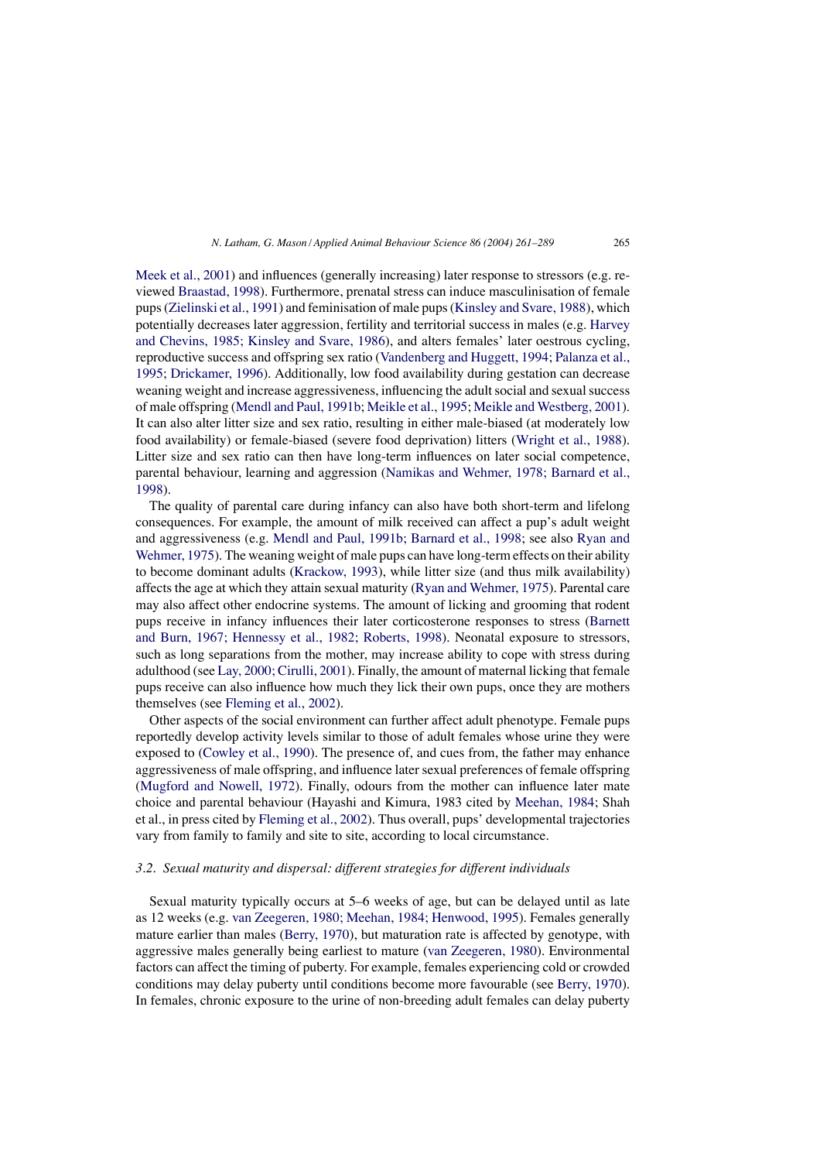Meek et al., [2001\)](#page-25-5) and influences (generally increasing) later response to stressors (e.g. reviewed [Braastad,](#page-20-4) 1998). Furthermore, prenatal stress can induce masculinisation of female pups[\(Zielinski](#page-28-0) et al., 1991) and feminisation of male pups([Kinsley](#page-23-5) and Svare, 1988), which potentially decreases later aggression, fertility and territorial success in males (e.g. [Harvey](#page-23-6) and [Chevins,](#page-23-6) 1985; Kinsley and Svare, 1986), and alters females' later oestrous cycling, reproductive success and offspring sex ratio ([Vandenberg](#page-27-7) and Huggett, 1994; [Palanza](#page-25-6) et al., [1995;](#page-25-6) [Drickamer,](#page-22-1) 1996). Additionally, low food availability during gestation can decrease weaning weight and increase aggressiveness, influencing the adult social and sexual success of male offspring (Mendl and Paul, [1991b;](#page-25-7) [Meikle](#page-25-8) et al., 1995; Meikle and [Westberg,](#page-25-9) 2001). It can also alter litter size and sex ratio, resulting in either male-biased (at moderately low food availability) or female-biased (severe food deprivation) litters [\(Wright](#page-27-8) et al., 1988). Litter size and sex ratio can then have long-term influences on later social competence, parental behaviour, learning and aggression (Namikas and [Wehmer,](#page-25-10) 1978; Barnard et al., [1998\).](#page-25-10)

The quality of parental care during infancy can also have both short-term and lifelong consequences. For example, the amount of milk received can affect a pup's adult weight and aggressiveness (e.g. Mendl and Paul, 1991b; [Barnard](#page-25-7) et al., 1998; see also [Ryan](#page-26-4) and [Wehmer,](#page-26-4) 1975). The weaning weight of male pups can have long-term effects on their ability to become dominant adults ([Krackow,](#page-24-5) 1993), while litter size (and thus milk availability) affects the age at which they attain sexual maturity (Ryan and [Wehmer,](#page-26-4) 1975). Parental care may also affect other endocrine systems. The amount of licking and grooming that rodent pups receive in infancy influences their later corticosterone responses to stress ([Barnett](#page-20-5) and Burn, 1967; [Hennessy](#page-20-5) et al., 1982; Roberts, 1998). Neonatal exposure to stressors, such as long separations from the mother, may increase ability to cope with stress during adulthood (see Lay, 2000; [Cirulli,](#page-24-6) 2001). Finally, the amount of maternal licking that female pups receive can also influence how much they lick their own pups, once they are mothers themselves (see [Fleming](#page-22-2) et al., 2002).

Other aspects of the social environment can further affect adult phenotype. Female pups reportedly develop activity levels similar to those of adult females whose urine they were exposed to [\(Cowley](#page-21-6) et al., 1990). The presence of, and cues from, the father may enhance aggressiveness of male offspring, and influence later sexual preferences of female offspring ([Mugford](#page-25-11) and Nowell, 1972). Finally, odours from the mother can influence later mate choice and parental behaviour (Hayashi and Kimura, 1983 cited by [Meehan,](#page-25-1) 1984; Shah et al., in press cited by [Fleming](#page-22-2) et al., 2002). Thus overall, pups' developmental trajectories vary from family to family and site to site, according to local circumstance.

## *3.2. Sexual maturity and dispersal: different strategies for different individuals*

Sexual maturity typically occurs at 5–6 weeks of age, but can be delayed until as late as 12 weeks (e.g. van Zeegeren, 1980; Meehan, 1984; [Henwood,](#page-27-2) 1995). Females generally mature earlier than males [\(Berry,](#page-20-2) 1970), but maturation rate is affected by genotype, with aggressive males generally being earliest to mature (van [Zeegeren,](#page-27-2) 1980). Environmental factors can affect the timing of puberty. For example, females experiencing cold or crowded conditions may delay puberty until conditions become more favourable (see Berry, [1970\).](#page-20-2) In females, chronic exposure to the urine of non-breeding adult females can delay puberty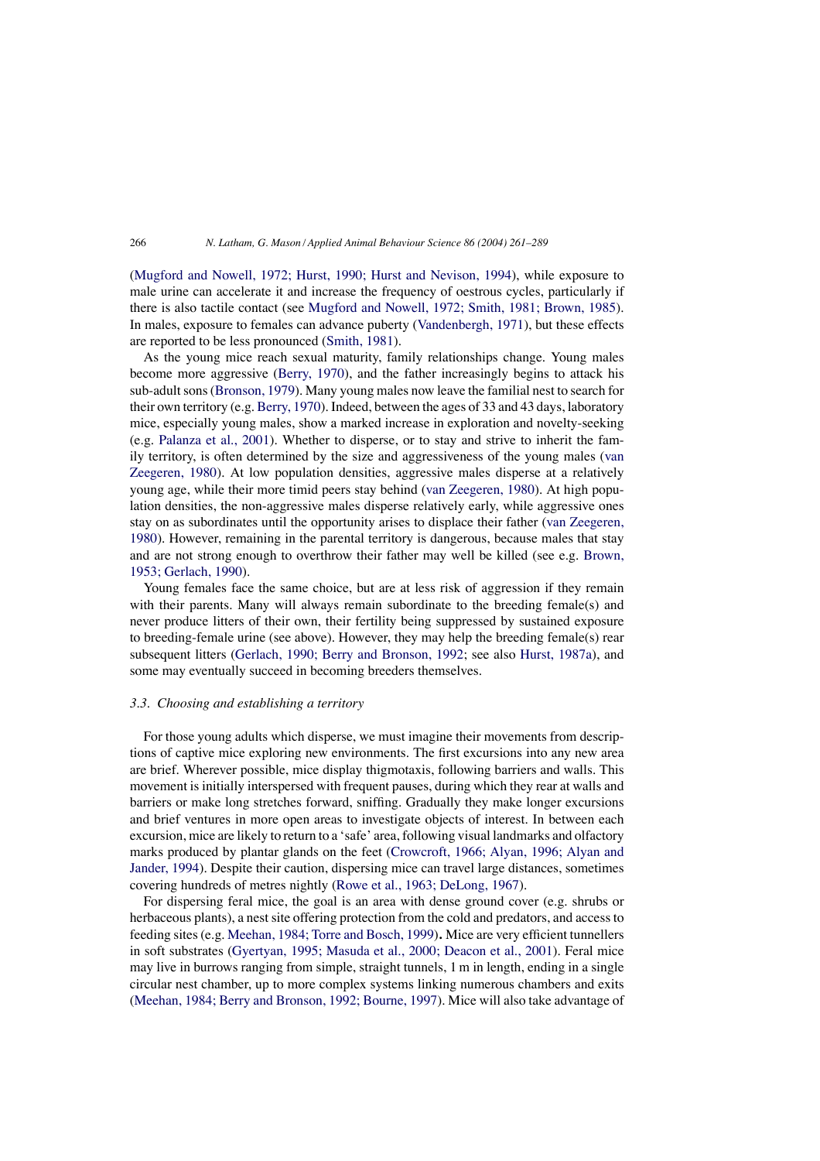[\(Mugford](#page-25-11) and Nowell, 1972; Hurst, 1990; Hurst and Nevison, 1994), while exposure to male urine can accelerate it and increase the frequency of oestrous cycles, particularly if there is also tactile contact (see [Mugford](#page-25-11) and Nowell, 1972; Smith, 1981; Brown, 1985). In males, exposure to females can advance puberty ([Vandenbergh,](#page-27-9) 1971), but these effects are reported to be less pronounced ([Smith,](#page-27-4) 1981).

As the young mice reach sexual maturity, family relationships change. Young males become more aggressive ([Berry,](#page-20-2) 1970), and the father increasingly begins to attack his sub-adult sons ([Bronson,](#page-20-0) 1979). Many young males now leave the familial nest to search for their own territory (e.g. Berry, [1970\).](#page-20-2) Indeed, between the ages of 33 and 43 days, laboratory mice, especially young males, show a marked increase in exploration and novelty-seeking (e.g. [Palanza](#page-26-5) et al., 2001). Whether to disperse, or to stay and strive to inherit the family territory, is often determined by the size and aggressiveness of the young males ([van](#page-27-2) [Zeegeren,](#page-27-2) 1980). At low population densities, aggressive males disperse at a relatively young age, while their more timid peers stay behind (van [Zeegeren,](#page-27-2) 1980). At high population densities, the non-aggressive males disperse relatively early, while aggressive ones stay on as subordinates until the opportunity arises to displace their father (van [Zeegeren,](#page-27-2) [1980\).](#page-27-2) However, remaining in the parental territory is dangerous, because males that stay and are not strong enough to overthrow their father may well be killed (see e.g. [Brown,](#page-20-3) 1953; [Gerlach,](#page-20-3) 1990).

Young females face the same choice, but are at less risk of aggression if they remain with their parents. Many will always remain subordinate to the breeding female(s) and never produce litters of their own, their fertility being suppressed by sustained exposure to breeding-female urine (see above). However, they may help the breeding female(s) rear subsequent litters (Gerlach, 1990; Berry and [Bronson,](#page-22-3) 1992; see also Hurst, [1987a\),](#page-23-7) and some may eventually succeed in becoming breeders themselves.

#### *3.3. Choosing and establishing a territory*

For those young adults which disperse, we must imagine their movements from descriptions of captive mice exploring new environments. The first excursions into any new area are brief. Wherever possible, mice display thigmotaxis, following barriers and walls. This movement is initially interspersed with frequent pauses, during which they rear at walls and barriers or make long stretches forward, sniffing. Gradually they make longer excursions and brief ventures in more open areas to investigate objects of interest. In between each excursion, mice are likely to return to a 'safe' area, following visual landmarks and olfactory marks produced by plantar glands on the feet ([Crowcroft,](#page-21-4) 1966; Alyan, 1996; Alyan and [Jander,](#page-21-4) 1994). Despite their caution, dispersing mice can travel large distances, sometimes covering hundreds of metres nightly (Rowe et al., 1963; [DeLong,](#page-26-6) 1967).

For dispersing feral mice, the goal is an area with dense ground cover (e.g. shrubs or herbaceous plants), a nest site offering protection from the cold and predators, and access to feeding sites(e.g. [Meehan,](#page-25-1) 1984; Torre and Bosch, 1999). Mice are very efficient tunnellers in soft substrates ([Gyertyan,](#page-22-4) 1995; Masuda et al., 2000; Deacon et al., 2001). Feral mice may live in burrows ranging from simple, straight tunnels, 1 m in length, ending in a single circular nest chamber, up to more complex systems linking numerous chambers and exits (Meehan, 1984; Berry and [Bronson,](#page-25-1) 1992; Bourne, 1997). Mice will also take advantage of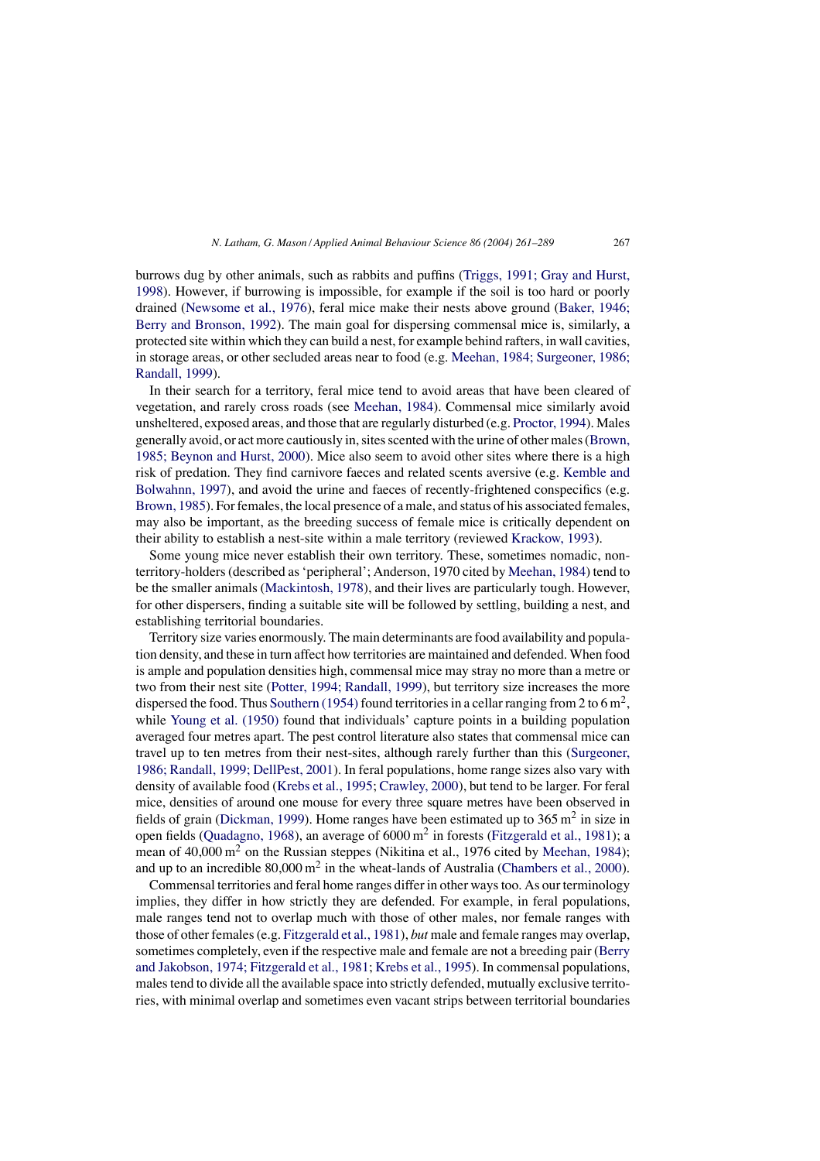burrows dug by other animals, such as rabbits and puffins [\(Triggs,](#page-27-10) 1991; Gray and Hurst, [1998\).](#page-27-10) However, if burrowing is impossible, for example if the soil is too hard or poorly drained ([Newsome](#page-25-12) et al., 1976), feral mice make their nests above ground ([Baker,](#page-20-6) 1946; Berry and [Bronson,](#page-20-6) 1992). The main goal for dispersing commensal mice is, similarly, a protected site within which they can build a nest, for example behind rafters, in wall cavities, in storage areas, or other secluded areas near to food (e.g. Meehan, 1984; [Surgeoner,](#page-25-1) 1986; [Randall,](#page-25-1) 1999).

In their search for a territory, feral mice tend to avoid areas that have been cleared of vegetation, and rarely cross roads (see [Meehan,](#page-25-1) 1984). Commensal mice similarly avoid unsheltered, exposed areas, and those that are regularly disturbed (e.g. [Proctor,](#page-26-7) 1994). Males generally avoid, or act more cautiously in, sites scented with the urine of other males ([Brown,](#page-21-7) 1985; [Beynon](#page-21-7) and Hurst, 2000)*.* Mice also seem to avoid other sites where there is a high risk of predation. They find carnivore faeces and related scents aversive (e.g. [Kemble](#page-23-8) and [Bolwahnn,](#page-23-8) 1997), and avoid the urine and faeces of recently-frightened conspecifics (e.g. [Brown,](#page-21-7) 1985). For females, the local presence of a male, and status of his associated females, may also be important, as the breeding success of female mice is critically dependent on their ability to establish a nest-site within a male territory (reviewed [Krackow,](#page-24-5) 1993).

Some young mice never establish their own territory. These, sometimes nomadic, nonterritory-holders(described as'peripheral'; Anderson, 1970 cited by [Meehan,](#page-25-1) 1984) tend to be the smaller animals [\(Mackintosh,](#page-24-7) 1978), and their lives are particularly tough. However, for other dispersers, finding a suitable site will be followed by settling, building a nest, and establishing territorial boundaries.

Territory size varies enormously. The main determinants are food availability and population density, and these in turn affect how territories are maintained and defended. When food is ample and population densities high, commensal mice may stray no more than a metre or two from their nest site (Potter, 1994; [Randall,](#page-26-2) 1999), but territory size increases the more dispersed the food. Thus [Southern](#page-27-1) (1954) found territories in a cellar ranging from 2 to 6  $m^2$ , while Young et al. [\(1950\)](#page-28-1) found that individuals' capture points in a building population averaged four metres apart. The pest control literature also states that commensal mice can travel up to ten metres from their nest-sites, although rarely further than this [\(Surgeoner,](#page-27-11) 1986; Randall, 1999; [DellPest,](#page-27-11) 2001). In feral populations, home range sizes also vary with density of available food [\(Krebs](#page-24-8) et al., 1995; [Crawley,](#page-21-1) 2000), but tend to be larger. For feral mice, densities of around one mouse for every three square metres have been observed in fields of grain ([Dickman,](#page-22-5) 1999). Home ranges have been estimated up to  $365 \text{ m}^2$  in size in open fields ([Quadagno,](#page-26-8) 1968), an average of  $6000 \text{ m}^2$  in forests ([Fitzgerald](#page-22-6) et al., 1981); a mean of  $40,000 \text{ m}^2$  on the Russian steppes (Nikitina et al., 1976 cited by [Meehan,](#page-25-1) 1984); and up to an incredible  $80,000 \text{ m}^2$  in the wheat-lands of Australia [\(Chambers](#page-21-8) et al., 2000).

Commensal territories and feral home ranges differ in other waystoo. As our terminology implies, they differ in how strictly they are defended. For example, in feral populations, male ranges tend not to overlap much with those of other males, nor female ranges with those of other females(e.g. [Fitzgerald](#page-22-6) et al., 1981), *but* male and female ranges may overlap, sometimes completely, even if the respective male and female are not a breeding pair [\(Berry](#page-20-7) and Jakobson, 1974; [Fitzgerald](#page-20-7) et al., 1981; Krebs et al., [1995\).](#page-24-8) In commensal populations, malestend to divide all the available space into strictly defended, mutually exclusive territories, with minimal overlap and sometimes even vacant strips between territorial boundaries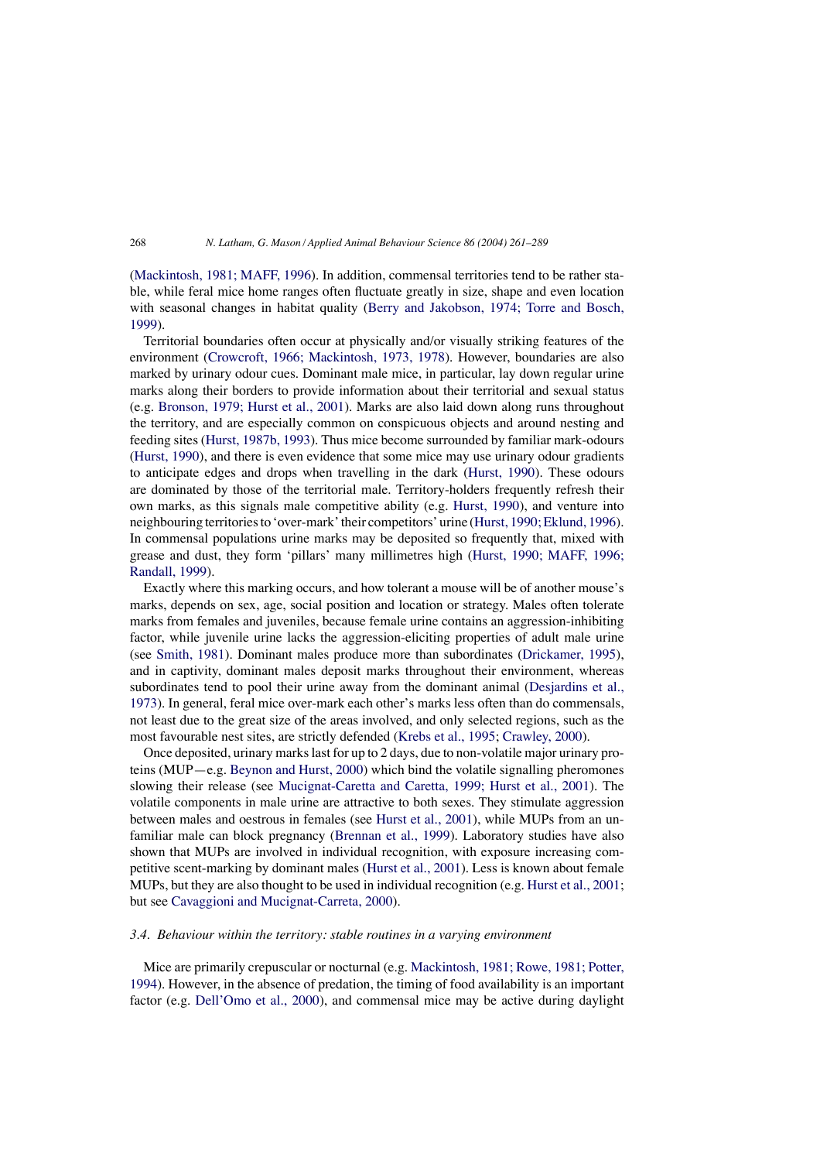[\(Mackintosh,](#page-24-2) 1981; MAFF, 1996)*.* In addition, commensal territories tend to be rather stable, while feral mice home ranges often fluctuate greatly in size, shape and even location with seasonal changes in habitat quality (Berry and [Jakobson,](#page-20-7) 1974; Torre and Bosch, [1999\).](#page-20-7)

Territorial boundaries often occur at physically and/or visually striking features of the environment (Crowcroft, 1966; [Mackintosh,](#page-21-4) 1973, 1978). However, boundaries are also marked by urinary odour cues. Dominant male mice, in particular, lay down regular urine marks along their borders to provide information about their territorial and sexual status (e.g. [Bronson,](#page-20-0) 1979; Hurst et al., 2001). Marks are also laid down along runs throughout the territory, and are especially common on conspicuous objects and around nesting and feeding sites (Hurst, [1987b,](#page-23-9) 1993). Thus mice become surrounded by familiar mark-odours (Hurst, [1990\),](#page-23-10) and there is even evidence that some mice may use urinary odour gradients to anticipate edges and drops when travelling in the dark ([Hurst,](#page-23-10) 1990). These odours are dominated by those of the territorial male. Territory-holders frequently refresh their own marks, as this signals male competitive ability (e.g. [Hurst,](#page-23-10) 1990), and venture into neighbouring territories to 'over-mark' their competitors' urine (Hurst, 1990; Eklund, 1996). In commensal populations urine marks may be deposited so frequently that, mixed with grease and dust, they form 'pillars' many millimetres high (Hurst, 1990; [MAFF,](#page-23-10) 1996; [Randall,](#page-23-10) 1999).

Exactly where this marking occurs, and how tolerant a mouse will be of another mouse's marks, depends on sex, age, social position and location or strategy. Males often tolerate marks from females and juveniles, because female urine contains an aggression-inhibiting factor, while juvenile urine lacks the aggression-eliciting properties of adult male urine (see [Smith,](#page-27-4) 1981). Dominant males produce more than subordinates [\(Drickamer,](#page-22-7) 1995), and in captivity, dominant males deposit marks throughout their environment, whereas subordinates tend to pool their urine away from the dominant animal [\(Desjardins](#page-22-8) et al., [1973\).](#page-22-8) In general, feral mice over-mark each other's marks less often than do commensals, not least due to the great size of the areas involved, and only selected regions, such as the most favourable nest sites, are strictly defended [\(Krebs](#page-24-8) et al., 1995; [Crawley,](#page-21-1) 2000).

Once deposited, urinary markslast for up to 2 days, due to non-volatile major urinary proteins (MUP—e.g. [Beynon](#page-20-8) and Hurst, 2000) which bind the volatile signalling pheromones slowing their release (see [Mucignat-Caretta](#page-25-13) and Caretta, 1999; Hurst et al., 2001). The volatile components in male urine are attractive to both sexes. They stimulate aggression between males and oestrous in females (see Hurst et al., [2001\),](#page-23-11) while MUPs from an unfamiliar male can block pregnancy ([Brennan](#page-20-9) et al., 1999). Laboratory studies have also shown that MUPs are involved in individual recognition, with exposure increasing competitive scent-marking by dominant males (Hurst et al., [2001\).](#page-23-11) Less is known about female MUPs, but they are also thought to be used in individual recognition (e.g. Hurst et al., [2001;](#page-23-11) but see Cavaggioni and [Mucignat-Carreta,](#page-21-9) 2000).

## *3.4. Behaviour within the territory: stable routines in a varying environment*

Mice are primarily crepuscular or nocturnal (e.g. [Mackintosh,](#page-24-2) 1981; Rowe, 1981; Potter, [1994\).](#page-24-2) However, in the absence of predation, the timing of food availability is an important factor (e.g. [Dell'Omo](#page-21-10) et al., 2000), and commensal mice may be active during daylight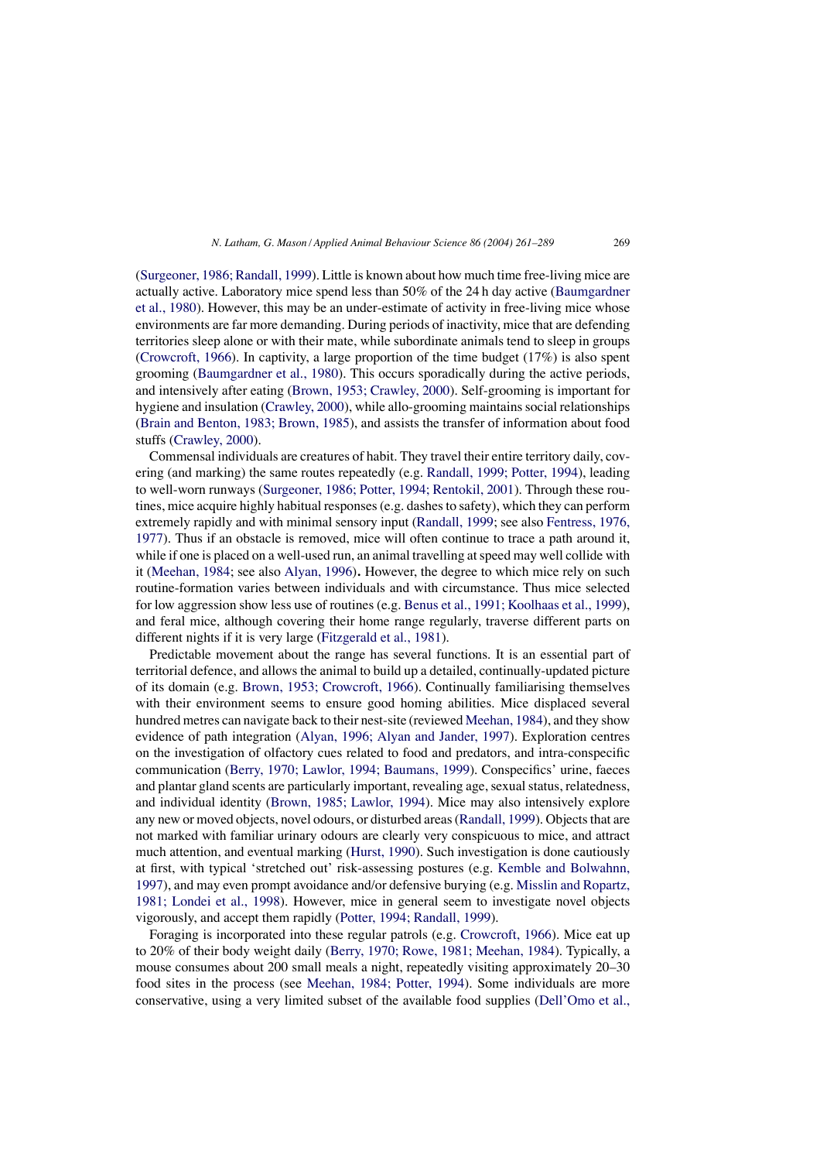([Surgeoner,](#page-27-11) 1986; Randall, 1999). Little is known about how much time free-living mice are actually active. Laboratory mice spend less than 50% of the 24 h day active ([Baumgardner](#page-20-10) et al., [1980\).](#page-20-10) However, this may be an under-estimate of activity in free-living mice whose environments are far more demanding. During periods of inactivity, mice that are defending territories sleep alone or with their mate, while subordinate animals tend to sleep in groups ([Crowcroft,](#page-21-4) 1966). In captivity, a large proportion of the time budget (17%) is also spent grooming [\(Baumgardner](#page-20-10) et al., 1980). This occurs sporadically during the active periods, and intensively after eating (Brown, 1953; [Crawley,](#page-20-3) 2000). Self-grooming is important for hygiene and insulation ([Crawley,](#page-21-1) 2000), while allo-grooming maintainssocial relationships (Brain and [Benton,](#page-20-11) 1983; Brown, 1985), and assists the transfer of information about food stuffs [\(Crawley,](#page-21-1) 2000).

Commensal individuals are creatures of habit. They travel their entire territory daily, covering (and marking) the same routes repeatedly (e.g. [Randall,](#page-26-1) 1999; Potter, 1994), leading to well-worn runways ([Surgeoner,](#page-27-11) 1986; Potter, 1994; Rentokil, 2001). Through these routines, mice acquire highly habitual responses (e.g. dashes to safety), which they can perform extremely rapidly and with minimal sensory input [\(Randall,](#page-26-1) 1999; see also [Fentress,](#page-22-9) 1976, [1977\).](#page-22-9) Thus if an obstacle is removed, mice will often continue to trace a path around it, while if one is placed on a well-used run, an animal travelling at speed may well collide with it ([Meehan,](#page-25-1) 1984; see also [Alyan,](#page-20-12) 1996). However, the degree to which mice rely on such routine-formation varies between individuals and with circumstance. Thus mice selected for low aggression show less use of routines (e.g. Benus et al., 1991; [Koolhaas](#page-20-13) et al., 1999), and feral mice, although covering their home range regularly, traverse different parts on different nights if it is very large [\(Fitzgerald](#page-22-6) et al., 1981).

Predictable movement about the range has several functions. It is an essential part of territorial defence, and allows the animal to build up a detailed, continually-updated picture of its domain (e.g. Brown, 1953; [Crowcroft,](#page-20-3) 1966). Continually familiarising themselves with their environment seems to ensure good homing abilities. Mice displaced several hundred metres can navigate back to their nest-site (reviewed [Meehan,](#page-25-1) 1984), and they show evidence of path integration (Alyan, 1996; Alyan and [Jander,](#page-20-12) 1997). Exploration centres on the investigation of olfactory cues related to food and predators, and intra-conspecific communication (Berry, 1970; Lawlor, 1994; [Baumans,](#page-20-2) 1999). Conspecifics' urine, faeces and plantar gland scents are particularly important, revealing age, sexual status, relatedness, and individual identity (Brown, 1985; [Lawlor,](#page-21-7) 1994). Mice may also intensively explore any new or moved objects, novel odours, or disturbed areas[\(Randall,](#page-26-1) 1999). Objectsthat are not marked with familiar urinary odours are clearly very conspicuous to mice, and attract much attention, and eventual marking [\(Hurst,](#page-23-10) 1990). Such investigation is done cautiously at first, with typical 'stretched out' risk-assessing postures (e.g. Kemble and [Bolwahnn,](#page-23-8) [1997\),](#page-23-8) and may even prompt avoidance and/or defensive burying (e.g. Misslin and [Ropartz,](#page-25-14) 1981; [Londei](#page-25-14) et al., 1998). However, mice in general seem to investigate novel objects vigorously, and accept them rapidly (Potter, 1994; [Randall,](#page-26-2) 1999).

Foraging is incorporated into these regular patrols (e.g. [Crowcroft,](#page-21-4) 1966). Mice eat up to 20% of their body weight daily (Berry, 1970; Rowe, 1981; [Meehan,](#page-20-2) 1984). Typically, a mouse consumes about 200 small meals a night, repeatedly visiting approximately 20–30 food sites in the process (see [Meehan,](#page-25-1) 1984; Potter, 1994). Some individuals are more conservative, using a very limited subset of the available food supplies [\(Dell'Omo](#page-21-10) et al.,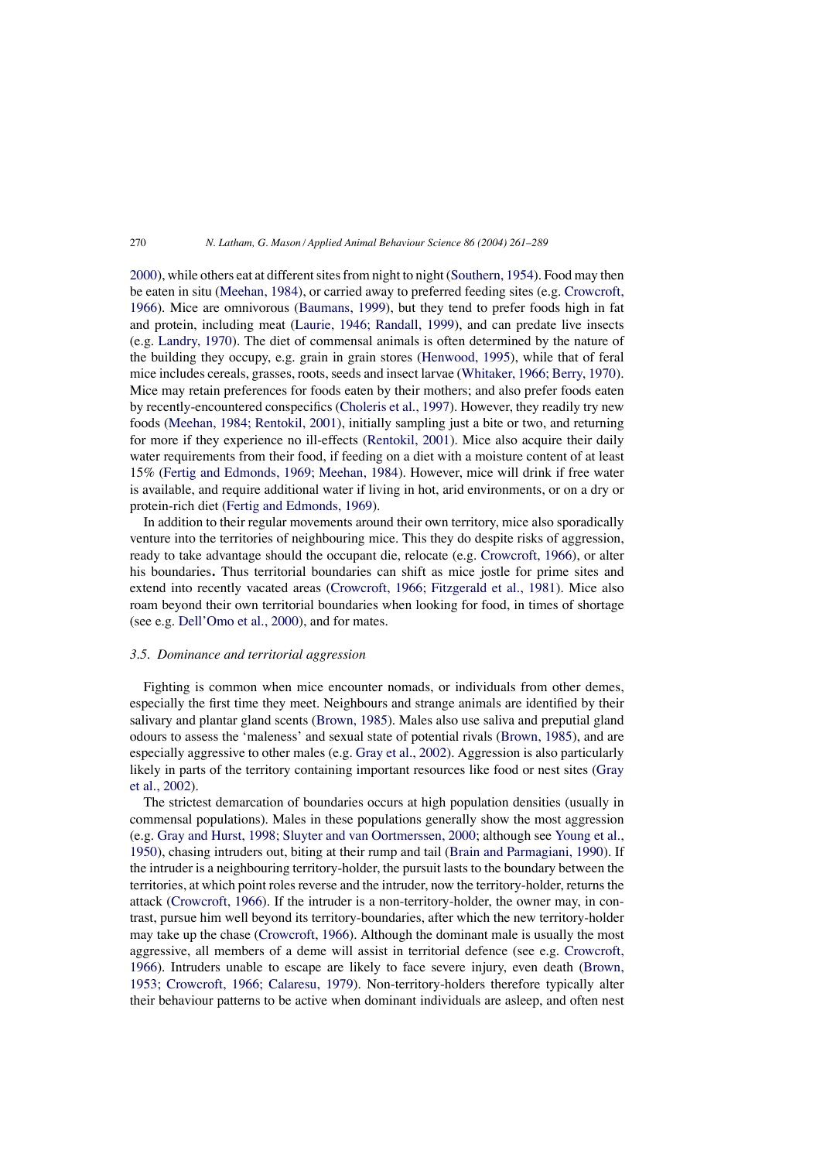[2000\),](#page-21-10) while others eat at different sites from night to night [\(Southern,](#page-27-1) 1954). Food may then be eaten in situ [\(Meehan,](#page-25-1) 1984), or carried away to preferred feeding sites (e.g. [Crowcroft,](#page-21-4) [1966\).](#page-21-4) Mice are omnivorous ([Baumans,](#page-20-1) 1999), but they tend to prefer foods high in fat and protein, including meat (Laurie, 1946; [Randall,](#page-24-9) 1999), and can predate live insects (e.g. [Landry,](#page-24-10) 1970). The diet of commensal animals is often determined by the nature of the building they occupy, e.g. grain in grain stores ([Henwood,](#page-23-12) 1995), while that of feral mice includes cereals, grasses, roots, seeds and insect larvae ([Whitaker,](#page-27-12) 1966; Berry, 1970). Mice may retain preferences for foods eaten by their mothers; and also prefer foods eaten by recently-encountered conspecifics ([Choleris](#page-21-5) et al., 1997). However, they readily try new foods (Meehan, 1984; [Rentokil,](#page-25-1) 2001), initially sampling just a bite or two, and returning for more if they experience no ill-effects ([Rentokil,](#page-26-3) 2001). Mice also acquire their daily water requirements from their food, if feeding on a diet with a moisture content of at least 15% (Fertig and [Edmonds,](#page-22-10) 1969; Meehan, 1984). However, mice will drink if free water is available, and require additional water if living in hot, arid environments, or on a dry or protein-rich diet (Fertig and [Edmonds,](#page-22-10) 1969).

In addition to their regular movements around their own territory, mice also sporadically venture into the territories of neighbouring mice. This they do despite risks of aggression, ready to take advantage should the occupant die, relocate (e.g. [Crowcroft,](#page-21-4) 1966), or alter his boundaries. Thus territorial boundaries can shift as mice jostle for prime sites and extend into recently vacated areas ([Crowcroft,](#page-21-4) 1966; Fitzgerald et al., 1981). Mice also roam beyond their own territorial boundaries when looking for food, in times of shortage (see e.g. [Dell'Omo](#page-21-10) et al., 2000), and for mates.

#### *3.5. Dominance and territorial aggression*

Fighting is common when mice encounter nomads, or individuals from other demes, especially the first time they meet. Neighbours and strange animals are identified by their salivary and plantar gland scents ([Brown,](#page-21-7) 1985). Males also use saliva and preputial gland odours to assess the 'maleness' and sexual state of potential rivals [\(Brown,](#page-21-7) 1985), and are especially aggressive to other males (e.g. Gray et al., [2002\).](#page-22-11) Aggression is also particularly likely in parts of the territory containing important resources like food or nest sites ([Gray](#page-22-11) et al., [2002\).](#page-22-11)

The strictest demarcation of boundaries occurs at high population densities (usually in commensal populations). Males in these populations generally show the most aggression (e.g. Gray and Hurst, 1998; Sluyter and van [Oortmerssen,](#page-22-0) 2000; although see [Young](#page-28-1) et al., [1950\),](#page-28-1) chasing intruders out, biting at their rump and tail (Brain and [Parmagiani,](#page-20-14) 1990). If the intruder is a neighbouring territory-holder, the pursuit lasts to the boundary between the territories, at which point roles reverse and the intruder, now the territory-holder, returns the attack [\(Crowcroft,](#page-21-4) 1966). If the intruder is a non-territory-holder, the owner may, in contrast, pursue him well beyond its territory-boundaries, after which the new territory-holder may take up the chase ([Crowcroft,](#page-21-4) 1966). Although the dominant male is usually the most aggressive, all members of a deme will assist in territorial defence (see e.g. [Crowcroft,](#page-21-4) [1966\).](#page-21-4) Intruders unable to escape are likely to face severe injury, even death [\(Brown,](#page-20-3) 1953; [Crowcroft,](#page-20-3) 1966; Calaresu, 1979). Non-territory-holders therefore typically alter their behaviour patterns to be active when dominant individuals are asleep, and often nest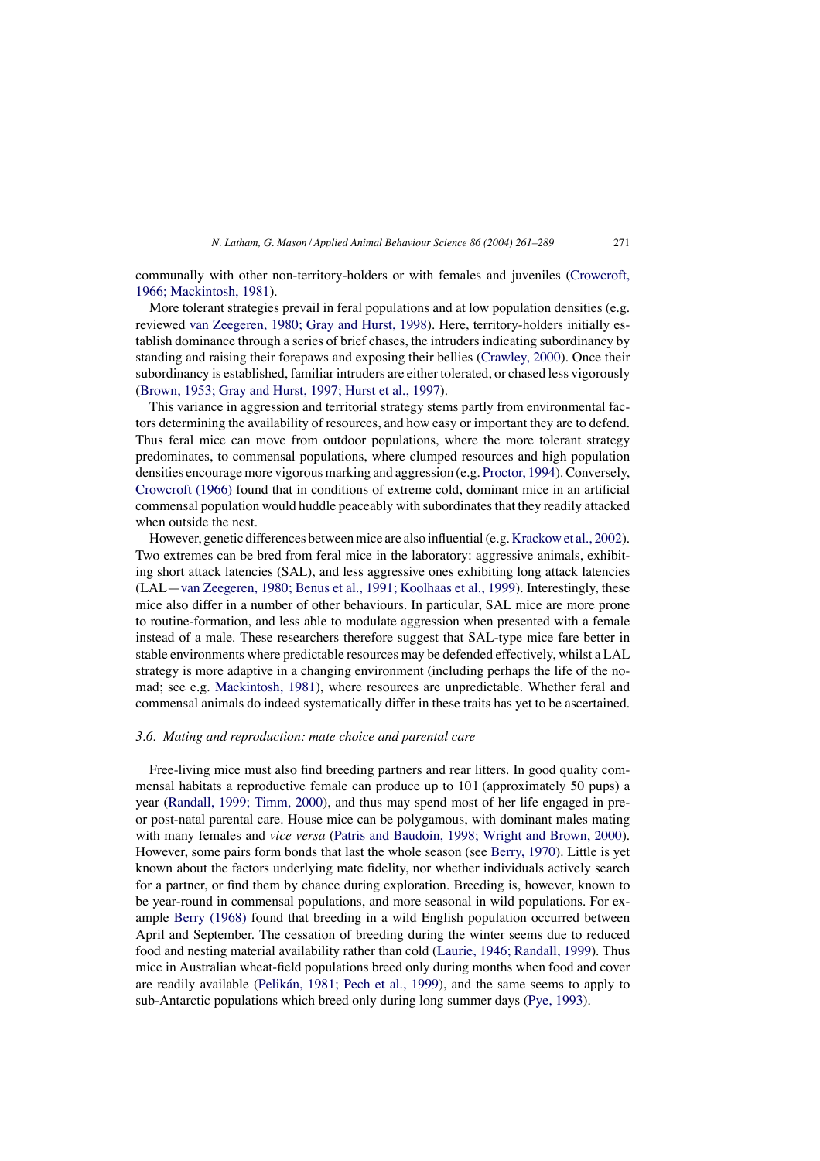communally with other non-territory-holders or with females and juveniles ([Crowcroft,](#page-21-4) 1966; [Mackintosh,](#page-21-4) 1981).

More tolerant strategies prevail in feral populations and at low population densities (e.g. reviewed van [Zeegeren,](#page-27-2) 1980; Gray and Hurst, 1998). Here, territory-holders initially establish dominance through a series of brief chases, the intruders indicating subordinancy by standing and raising their forepaws and exposing their bellies [\(Crawley,](#page-21-1) 2000). Once their subordinancy is established, familiar intruders are either tolerated, or chased less vigorously ([Brown,](#page-20-3) 1953; Gray and Hurst, 1997; Hurst et al., 1997).

This variance in aggression and territorial strategy stems partly from environmental factors determining the availability of resources, and how easy or important they are to defend. Thus feral mice can move from outdoor populations, where the more tolerant strategy predominates, to commensal populations, where clumped resources and high population densities encourage more vigorous marking and aggression (e.g. [Proctor,](#page-26-7) 1994).Conversely, [Crowcroft](#page-21-4) (1966) found that in conditions of extreme cold, dominant mice in an artificial commensal population would huddle peaceably with subordinatesthat they readily attacked when outside the nest.

However, genetic differences between mice are also influential (e.g. [Krackow](#page-24-11) et al., 2002). Two extremes can be bred from feral mice in the laboratory: aggressive animals, exhibiting short attack latencies (SAL), and less aggressive ones exhibiting long attack latencies (LAL—van [Zeegeren,](#page-27-2) 1980; Benus et al., 1991; Koolhaas et al., 1999). Interestingly, these mice also differ in a number of other behaviours. In particular, SAL mice are more prone to routine-formation, and less able to modulate aggression when presented with a female instead of a male. These researchers therefore suggest that SAL-type mice fare better in stable environments where predictable resources may be defended effectively, whilst a LAL strategy is more adaptive in a changing environment (including perhaps the life of the nomad; see e.g. [Mackintosh,](#page-24-2) 1981), where resources are unpredictable. Whether feral and commensal animals do indeed systematically differ in these traits has yet to be ascertained.

#### *3.6. Mating and reproduction: mate choice and parental care*

Free-living mice must also find breeding partners and rear litters. In good quality commensal habitats a reproductive female can produce up to 101 (approximately 50 pups) a year [\(Randall,](#page-26-1) 1999; Timm, 2000), and thus may spend most of her life engaged in preor post-natal parental care. House mice can be polygamous, with dominant males mating with many females and *vice versa* (Patris and [Baudoin,](#page-26-9) 1998; Wright and Brown, 2000). However, some pairs form bonds that last the whole season (see Berry, [1970\).](#page-20-2) Little is yet known about the factors underlying mate fidelity, nor whether individuals actively search for a partner, or find them by chance during exploration. Breeding is, however, known to be year-round in commensal populations, and more seasonal in wild populations. For example Berry [\(1968\)](#page-20-15) found that breeding in a wild English population occurred between April and September. The cessation of breeding during the winter seems due to reduced food and nesting material availability rather than cold (Laurie, 1946; [Randall,](#page-24-9) 1999). Thus mice in Australian wheat-field populations breed only during months when food and cover are readily available [\(Pelikán,](#page-26-10) 1981; Pech et al., 1999), and the same seems to apply to sub-Antarctic populations which breed only during long summer days (Pye, [1993\).](#page-26-11)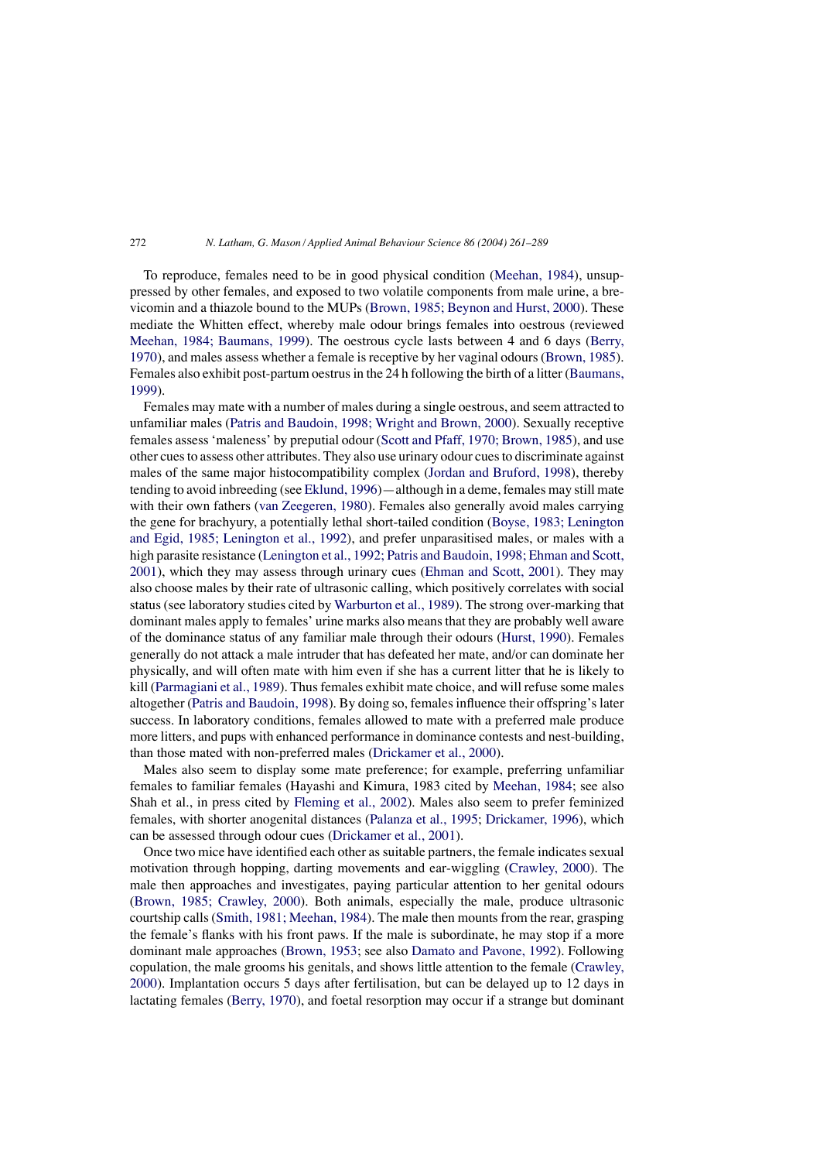To reproduce, females need to be in good physical condition ([Meehan,](#page-25-1) 1984), unsuppressed by other females, and exposed to two volatile components from male urine, a brevicomin and a thiazole bound to the MUPs (Brown, 1985; [Beynon](#page-21-7) and Hurst, 2000). These mediate the Whitten effect, whereby male odour brings females into oestrous (reviewed Meehan, 1984; [Baumans,](#page-25-1) 1999). The oestrous cycle lasts between 4 and 6 days [\(Berry,](#page-20-2) [1970\),](#page-20-2) and males assess whether a female is receptive by her vaginal odours ([Brown,](#page-21-7) 1985). Females also exhibit post-partum oestrusin the 24 h following the birth of a litter [\(Baumans,](#page-20-1) [1999\).](#page-20-1)

Females may mate with a number of males during a single oestrous, and seem attracted to unfamiliar males (Patris and [Baudoin,](#page-26-9) 1998; Wright and Brown, 2000). Sexually receptive females assess 'maleness' by preputial odour (Scott and Pfaff, 1970; [Brown,](#page-26-12) 1985), and use other cuesto assess other attributes. They also use urinary odour cuesto discriminate against males of the same major histocompatibility complex (Jordan and [Bruford,](#page-23-13) 1998), thereby tending to avoid inbreeding (see [Eklund,](#page-22-12) 1996)—although in a deme, females may still mate with their own fathers (van [Zeegeren,](#page-27-2) 1980). Females also generally avoid males carrying the gene for brachyury, a potentially lethal short-tailed condition (Boyse, 1983; [Lenington](#page-20-16) and Egid, 1985; [Lenington](#page-20-16) et al., 1992), and prefer unparasitised males, or males with a high parasite resistance ([Lenington](#page-24-12) et al., 1992; Patris and Baudoin, 1998; Ehman and Scott, [2001\),](#page-24-12) which they may assess through urinary cues [\(Ehman](#page-22-13) and Scott, 2001). They may also choose males by their rate of ultrasonic calling, which positively correlates with social status (see laboratory studies cited by [Warburton](#page-27-13) et al., 1989). The strong over-marking that dominant males apply to females' urine marks also meansthat they are probably well aware of the dominance status of any familiar male through their odours (Hurst, [1990\).](#page-23-10) Females generally do not attack a male intruder that has defeated her mate, and/or can dominate her physically, and will often mate with him even if she has a current litter that he is likely to kill ([Parmagiani](#page-26-13) et al., 1989). Thus females exhibit mate choice, and will refuse some males altogether (Patris and [Baudoin,](#page-26-9) 1998). By doing so, females influence their offspring's later success. In laboratory conditions, females allowed to mate with a preferred male produce more litters, and pups with enhanced performance in dominance contests and nest-building, than those mated with non-preferred males ([Drickamer](#page-22-14) et al., 2000).

Males also seem to display some mate preference; for example, preferring unfamiliar females to familiar females (Hayashi and Kimura, 1983 cited by [Meehan,](#page-25-1) 1984; see also Shah et al., in press cited by [Fleming](#page-22-2) et al., 2002). Males also seem to prefer feminized females, with shorter anogenital distances [\(Palanza](#page-25-6) et al., 1995; [Drickamer,](#page-22-1) 1996), which can be assessed through odour cues [\(Drickamer](#page-22-15) et al., 2001).

Once two mice have identified each other as suitable partners, the female indicates sexual motivation through hopping, darting movements and ear-wiggling [\(Crawley,](#page-21-1) 2000). The male then approaches and investigates, paying particular attention to her genital odours (Brown, 1985; [Crawley,](#page-21-7) 2000). Both animals, especially the male, produce ultrasonic courtship calls (Smith, 1981; [Meehan,](#page-27-4) 1984). The male then mounts from the rear, grasping the female's flanks with his front paws. If the male is subordinate, he may stop if a more dominant male approaches [\(Brown,](#page-20-3) 1953; see also Damato and [Pavone,](#page-21-11) 1992). Following copulation, the male grooms his genitals, and shows little attention to the female ([Crawley,](#page-21-1) [2000\).](#page-21-1) Implantation occurs 5 days after fertilisation, but can be delayed up to 12 days in lactating females (Berry, [1970\),](#page-20-2) and foetal resorption may occur if a strange but dominant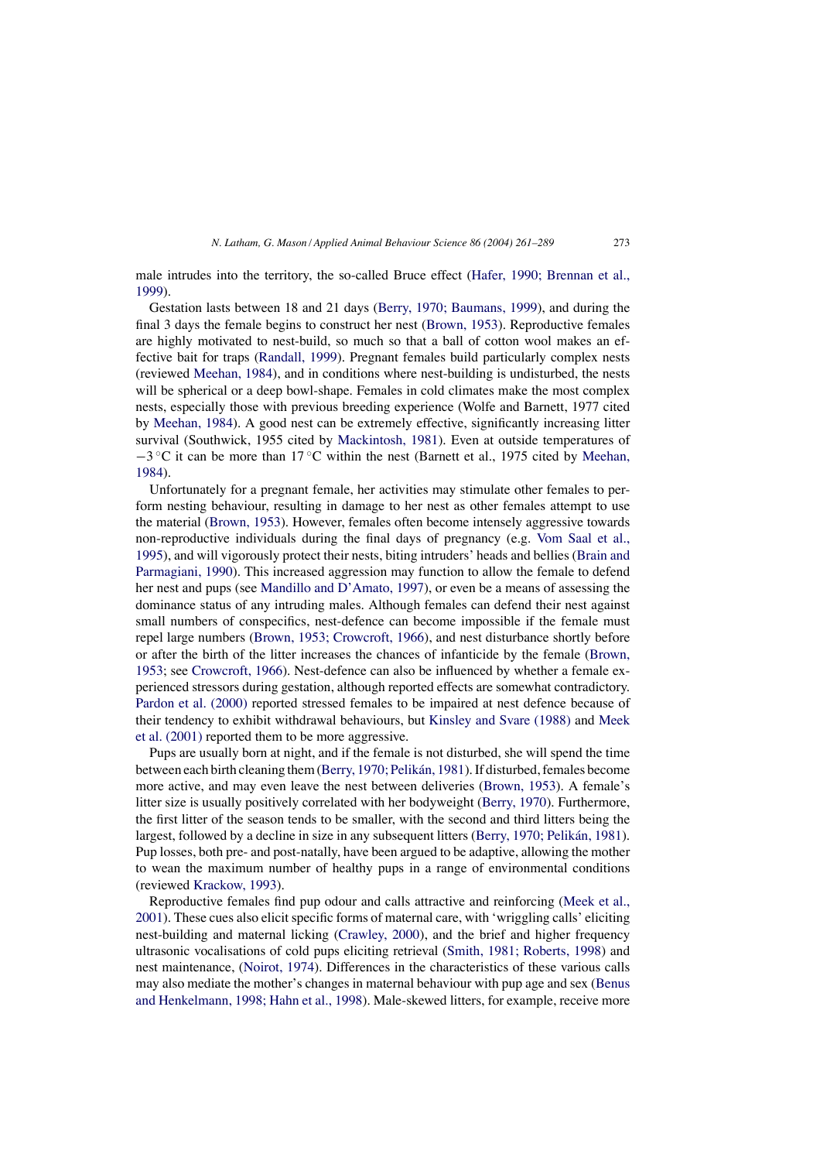male intrudes into the territory, the so-called Bruce effect (Hafer, 1990; [Brennan](#page-22-16) et al., [1999\).](#page-22-16)

Gestation lasts between 18 and 21 days (Berry, 1970; [Baumans,](#page-20-2) 1999), and during the final 3 days the female begins to construct her nest [\(Brown,](#page-20-3) 1953). Reproductive females are highly motivated to nest-build, so much so that a ball of cotton wool makes an effective bait for traps ([Randall,](#page-26-1) 1999). Pregnant females build particularly complex nests (reviewed [Meehan,](#page-25-1) 1984), and in conditions where nest-building is undisturbed, the nests will be spherical or a deep bowl-shape. Females in cold climates make the most complex nests, especially those with previous breeding experience (Wolfe and Barnett, 1977 cited by [Meehan,](#page-25-1) 1984). A good nest can be extremely effective, significantly increasing litter survival (Southwick, 1955 cited by [Mackintosh,](#page-24-2) 1981). Even at outside temperatures of  $-3$  °C it can be more than 17 °C within the nest (Barnett et al., 1975 cited by [Meehan,](#page-25-1) [1984\).](#page-25-1)

Unfortunately for a pregnant female, her activities may stimulate other females to perform nesting behaviour, resulting in damage to her nest as other females attempt to use the material ([Brown,](#page-20-3) 1953). However, females often become intensely aggressive towards non-reproductive individuals during the final days of pregnancy (e.g. [Vom](#page-27-14) Saal et al., [1995\),](#page-27-14) and will vigorously protect their nests, biting intruders' heads and bellies ([Brain](#page-20-14) and [Parmagiani,](#page-20-14) 1990). This increased aggression may function to allow the female to defend her nest and pups (see Mandillo and [D'Amato,](#page-24-13) 1997), or even be a means of assessing the dominance status of any intruding males. Although females can defend their nest against small numbers of conspecifics, nest-defence can become impossible if the female must repel large numbers (Brown, 1953; [Crowcroft,](#page-20-3) 1966), and nest disturbance shortly before or after the birth of the litter increases the chances of infanticide by the female ([Brown,](#page-20-3) [1953;](#page-20-3) see [Crowcroft,](#page-21-4) 1966). Nest-defence can also be influenced by whether a female experienced stressors during gestation, although reported effects are somewhat contradictory. [Pardon](#page-26-14) et al. (2000) reported stressed females to be impaired at nest defence because of their tendency to exhibit withdrawal behaviours, but [Kinsley](#page-23-5) and Svare (1988) and [Meek](#page-25-5) et al. [\(2001\)](#page-25-5) reported them to be more aggressive.

Pups are usually born at night, and if the female is not disturbed, she will spend the time between each birth cleaning them (Berry, 1970; [Pelikán,](#page-20-2) 1981). If disturbed, females become more active, and may even leave the nest between deliveries ([Brown,](#page-20-3) 1953). A female's litter size is usually positively correlated with her bodyweight (Berry, [1970\).](#page-20-2) Furthermore, the first litter of the season tends to be smaller, with the second and third litters being the largest, followed by a decline in size in any subsequent litters (Berry, 1970; [Pelikán,](#page-20-2) 1981). Pup losses, both pre- and post-natally, have been argued to be adaptive, allowing the mother to wean the maximum number of healthy pups in a range of environmental conditions (reviewed [Krackow,](#page-24-5) 1993).

Reproductive females find pup odour and calls attractive and reinforcing ([Meek](#page-25-5) et al., [2001\).](#page-25-5) These cues also elicit specific forms of maternal care, with 'wriggling calls' eliciting nest-building and maternal licking ([Crawley,](#page-21-1) 2000), and the brief and higher frequency ultrasonic vocalisations of cold pups eliciting retrieval (Smith, 1981; [Roberts,](#page-27-4) 1998) and nest maintenance, ([Noirot,](#page-25-15) 1974). Differences in the characteristics of these various calls may also mediate the mother's changes in maternal behaviour with pup age and sex [\(Benus](#page-20-17) and [Henkelmann,](#page-20-17) 1998; Hahn et al., 1998). Male-skewed litters, for example, receive more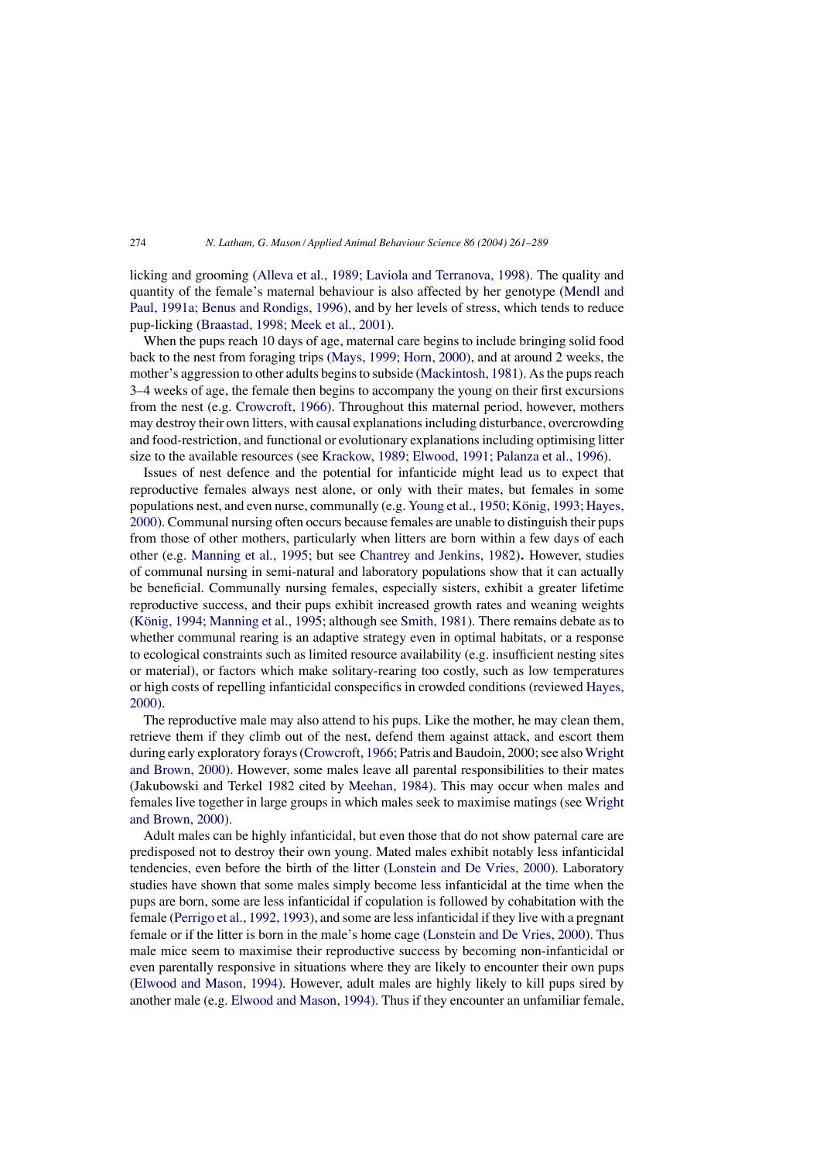licking and grooming (Alleva et al., 1989; Laviola and [Terranova,](#page-19-0) 1998). The quality and quantity of the female's maternal behaviour is also affected by her genotype [\(Mendl](#page-25-16) and Paul, 1991a; Benus and [Rondigs,](#page-25-16) 1996), and by her levels of stress, which tends to reduce pup-licking ([Braastad,](#page-20-4) 1998; Meek et al., 2001).

When the pups reach 10 days of age, maternal care begins to include bringing solid food back to the nest from foraging trips (Mays, 1999; Horn, [2000\),](#page-25-17) and at around 2 weeks, the mother's aggression to other adults beginsto subside [\(Mackintosh,](#page-24-2) 1981). Asthe pupsreach 3–4 weeks of age, the female then begins to accompany the young on their first excursions from the nest (e.g. [Crowcroft,](#page-21-4) 1966). Throughout this maternal period, however, mothers may destroy their own litters, with causal explanationsincluding disturbance, overcrowding and food-restriction, and functional or evolutionary explanations including optimising litter size to the available resources (see [Krackow,](#page-24-14) 1989; Elwood, 1991; Palanza et al., 1996).

Issues of nest defence and the potential for infanticide might lead us to expect that reproductive females always nest alone, or only with their mates, but females in some populations nest, and even nurse, communally (e.g. [Young](#page-28-1) et al., 1950; [König,](#page-24-15) 1993; [Hayes,](#page-23-14) [2000\).](#page-23-14) Communal nursing often occurs because females are unable to distinguish their pups from those of other mothers, particularly when litters are born within a few days of each other (e.g. [Manning](#page-24-16) et al., 1995; but see [Chantrey](#page-21-12) and Jenkins, 1982). However, studies of communal nursing in semi-natural and laboratory populations show that it can actually be beneficial. Communally nursing females, especially sisters, exhibit a greater lifetime reproductive success, and their pups exhibit increased growth rates and weaning weights [\(König,](#page-24-17) 1994; [Manning](#page-24-16) et al., 1995; although see [Smith,](#page-27-4) 1981). There remains debate as to whether communal rearing is an adaptive strategy even in optimal habitats, or a response to ecological constraints such as limited resource availability (e.g. insufficient nesting sites or material), or factors which make solitary-rearing too costly, such as low temperatures or high costs of repelling infanticidal conspecifics in crowded conditions (reviewed [Hayes,](#page-23-14) [2000\).](#page-23-14)

The reproductive male may also attend to his pups. Like the mother, he may clean them, retrieve them if they climb out of the nest, defend them against attack, and escort them during early exploratory forays ([Crowcroft,](#page-21-4) 1966; Patris and Baudoin, 2000; see also [Wright](#page-27-15) and [Brown,](#page-27-15) 2000). However, some males leave all parental responsibilities to their mates (Jakubowski and Terkel 1982 cited by [Meehan,](#page-25-1) 1984). This may occur when males and females live together in large groups in which males seek to maximise matings (see [Wright](#page-27-15) and [Brown,](#page-27-15) 2000).

Adult males can be highly infanticidal, but even those that do not show paternal care are predisposed not to destroy their own young. Mated males exhibit notably less infanticidal tendencies, even before the birth of the litter ([Lonstein](#page-24-18) and De Vries, 2000). Laboratory studies have shown that some males simply become less infanticidal at the time when the pups are born, some are less infanticidal if copulation is followed by cohabitation with the female [\(Perrigo](#page-26-15) et al., 1992, 1993), and some are lessinfanticidal if they live with a pregnant female or if the litter is born in the male's home cage [\(Lonstein](#page-24-18) and De Vries, 2000). Thus male mice seem to maximise their reproductive success by becoming non-infanticidal or even parentally responsive in situations where they are likely to encounter their own pups [\(Elwood](#page-22-17) and Mason, 1994). However, adult males are highly likely to kill pups sired by another male (e.g. [Elwood](#page-22-17) and Mason, 1994). Thus if they encounter an unfamiliar female,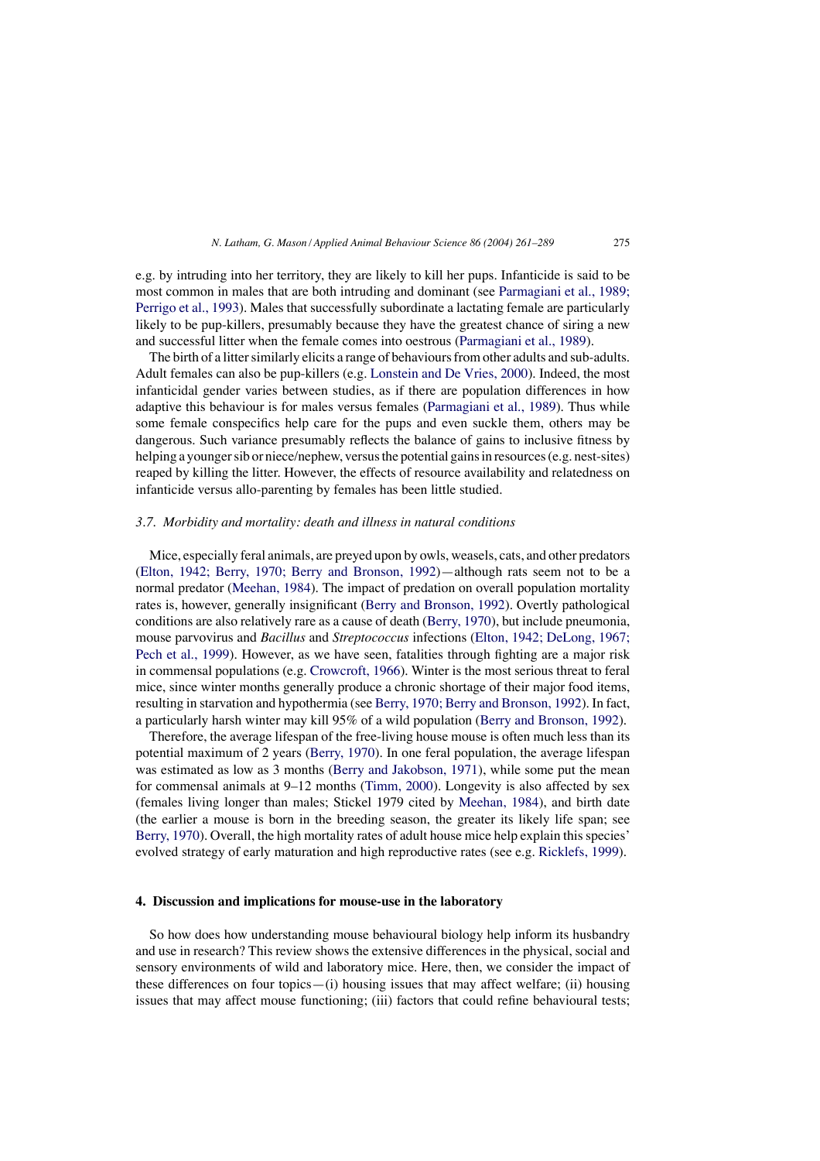e.g. by intruding into her territory, they are likely to kill her pups. Infanticide is said to be most common in males that are both intruding and dominant (see [Parmagiani](#page-26-13) et al., 1989; [Perrigo](#page-26-13) et al., 1993). Males that successfully subordinate a lactating female are particularly likely to be pup-killers, presumably because they have the greatest chance of siring a new and successful litter when the female comes into oestrous [\(Parmagiani](#page-26-13) et al., 1989).

The birth of a litter similarly elicits a range of behaviours from other adults and sub-adults. Adult females can also be pup-killers (e.g. [Lonstein](#page-24-18) and De Vries, 2000). Indeed, the most infanticidal gender varies between studies, as if there are population differences in how adaptive this behaviour is for males versus females [\(Parmagiani](#page-26-13) et al., 1989). Thus while some female conspecifics help care for the pups and even suckle them, others may be dangerous. Such variance presumably reflects the balance of gains to inclusive fitness by helping a younger sib or niece/nephew, versus the potential gains in resources (e.g. nest-sites) reaped by killing the litter. However, the effects of resource availability and relatedness on infanticide versus allo-parenting by females has been little studied.

#### *3.7. Morbidity and mortality: death and illness in natural conditions*

Mice, especially feral animals, are preyed upon by owls, weasels, cats, and other predators (Elton, 1942; Berry, 1970; Berry and [Bronson,](#page-22-18) 1992)—although rats seem not to be a normal predator [\(Meehan,](#page-25-1) 1984). The impact of predation on overall population mortality rates is, however, generally insignificant (Berry and [Bronson,](#page-20-18) 1992). Overtly pathological conditions are also relatively rare as a cause of death (Berry, [1970\),](#page-20-2) but include pneumonia, mouse parvovirus and *Bacillus* and *Streptococcus* infections (Elton, 1942; [DeLong,](#page-22-18) 1967; Pech et al., [1999\).](#page-22-18) However, as we have seen, fatalities through fighting are a major risk in commensal populations (e.g. [Crowcroft,](#page-21-4) 1966). Winter is the most serious threat to feral mice, since winter months generally produce a chronic shortage of their major food items, resulting in starvation and hypothermia (see Berry, 1970; Berry and [Bronson,](#page-20-2) 1992). In fact, a particularly harsh winter may kill 95% of a wild population (Berry and [Bronson,](#page-20-18) 1992).

Therefore, the average lifespan of the free-living house mouse is often much less than its potential maximum of 2 years (Berry, [1970\).](#page-20-2) In one feral population, the average lifespan was estimated as low as 3 months (Berry and [Jakobson,](#page-20-19) 1971), while some put the mean for commensal animals at 9–12 months ([Timm,](#page-27-16) 2000). Longevity is also affected by sex (females living longer than males; Stickel 1979 cited by [Meehan,](#page-25-1) 1984), and birth date (the earlier a mouse is born in the breeding season, the greater its likely life span; see Berry, [1970\).](#page-20-2) Overall, the high mortality rates of adult house mice help explain this species' evolved strategy of early maturation and high reproductive rates (see e.g. [Ricklefs,](#page-26-16) 1999).

#### **4. Discussion and implications for mouse-use in the laboratory**

So how does how understanding mouse behavioural biology help inform its husbandry and use in research? This review shows the extensive differences in the physical, social and sensory environments of wild and laboratory mice. Here, then, we consider the impact of these differences on four topics— $(i)$  housing issues that may affect welfare;  $(ii)$  housing issues that may affect mouse functioning; (iii) factors that could refine behavioural tests;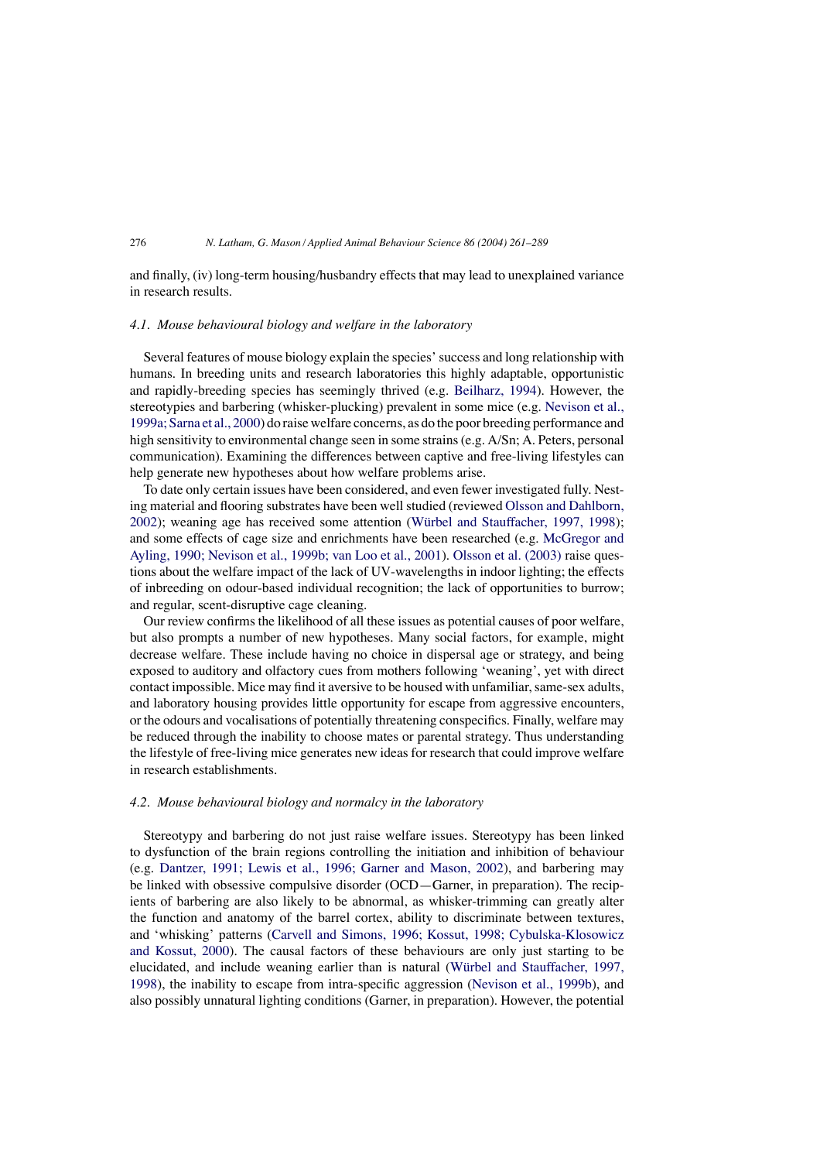and finally, (iv) long-term housing/husbandry effects that may lead to unexplained variance in research results.

## *4.1. Mouse behavioural biology and welfare in the laboratory*

Several features of mouse biology explain the species'success and long relationship with humans. In breeding units and research laboratories this highly adaptable, opportunistic and rapidly-breeding species has seemingly thrived (e.g. [Beilharz,](#page-20-20) 1994). However, the stereotypies and barbering (whisker-plucking) prevalent in some mice (e.g. [Nevison](#page-25-18) et al., [1999a;](#page-25-18) Sarna et al., 2000) do raisewelfare concerns, as do the poor breeding performance and high sensitivity to environmental change seen in some strains (e.g. A/Sn; A. Peters, personal communication). Examining the differences between captive and free-living lifestyles can help generate new hypotheses about how welfare problems arise.

To date only certain issues have been considered, and even fewer investigated fully. Nesting material and flooring substrates have been well studied (reviewed Olsson and [Dahlborn,](#page-25-19) [2002\);](#page-25-19) weaning age has received some attention (Würbel and [Stauffacher,](#page-28-2) 1997, 1998); and some effects of cage size and enrichments have been researched (e.g. [McGregor](#page-25-20) and Ayling, 1990; [Nevison](#page-25-20) et al., 1999b; van Loo et al., 2001). [Olsson](#page-25-3) et al. (2003) raise questions about the welfare impact of the lack of UV-wavelengths in indoor lighting; the effects of inbreeding on odour-based individual recognition; the lack of opportunities to burrow; and regular, scent-disruptive cage cleaning.

Our review confirms the likelihood of all these issues as potential causes of poor welfare, but also prompts a number of new hypotheses. Many social factors, for example, might decrease welfare. These include having no choice in dispersal age or strategy, and being exposed to auditory and olfactory cues from mothers following 'weaning', yet with direct contact impossible. Mice may find it aversive to be housed with unfamiliar, same-sex adults, and laboratory housing provides little opportunity for escape from aggressive encounters, or the odours and vocalisations of potentially threatening conspecifics. Finally, welfare may be reduced through the inability to choose mates or parental strategy. Thus understanding the lifestyle of free-living mice generates new ideas for research that could improve welfare in research establishments.

## *4.2. Mouse behavioural biology and normalcy in the laboratory*

Stereotypy and barbering do not just raise welfare issues. Stereotypy has been linked to dysfunction of the brain regions controlling the initiation and inhibition of behaviour (e.g. [Dantzer,](#page-21-13) 1991; Lewis et al., 1996; Garner and Mason, 2002), and barbering may be linked with obsessive compulsive disorder (OCD—Garner, in preparation). The recipients of barbering are also likely to be abnormal, as whisker-trimming can greatly alter the function and anatomy of the barrel cortex, ability to discriminate between textures, and 'whisking' patterns (Carvell and Simons, 1996; Kossut, 1998; [Cybulska-Klosowicz](#page-21-14) and [Kossut,](#page-21-14) 2000). The causal factors of these behaviours are only just starting to be elucidated, and include weaning earlier than is natural (Würbel and [Stauffacher,](#page-28-2) 1997, [1998\),](#page-28-2) the inability to escape from intra-specific aggression ([Nevison](#page-25-21) et al., 1999b), and also possibly unnatural lighting conditions (Garner, in preparation). However, the potential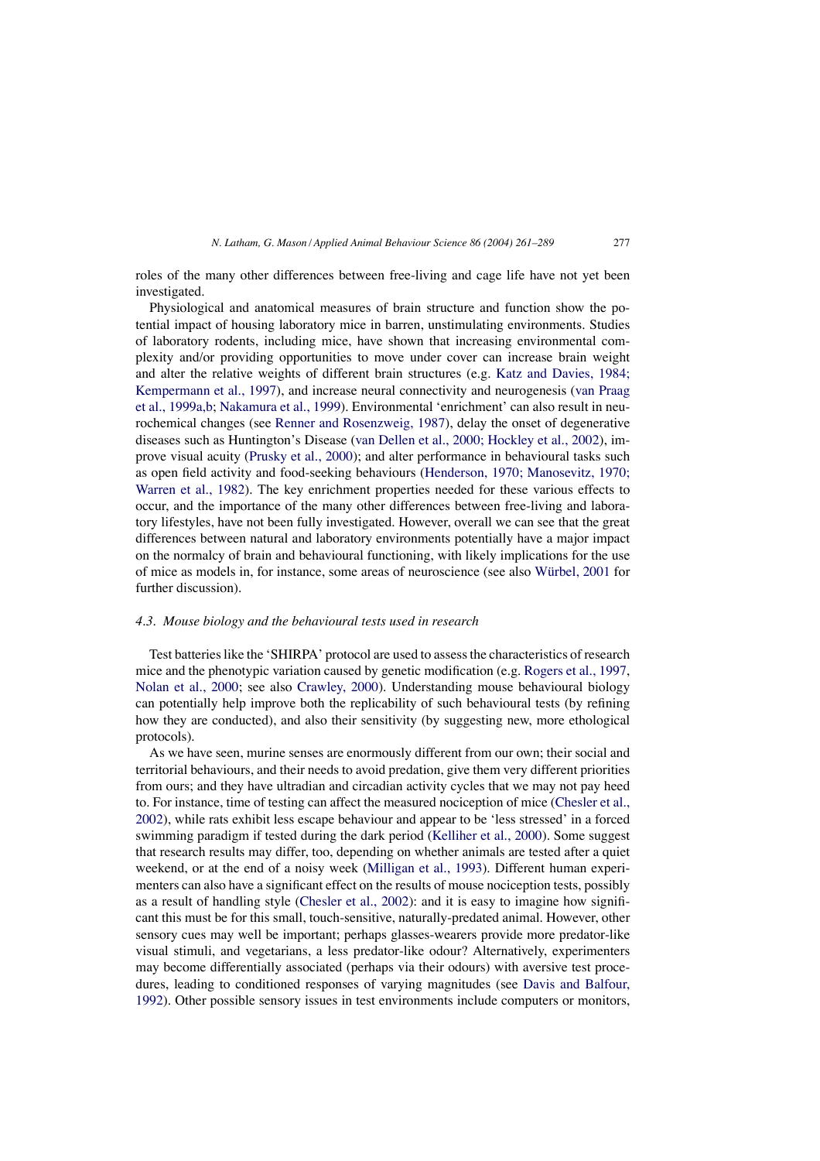roles of the many other differences between free-living and cage life have not yet been investigated.

Physiological and anatomical measures of brain structure and function show the potential impact of housing laboratory mice in barren, unstimulating environments. Studies of laboratory rodents, including mice, have shown that increasing environmental complexity and/or providing opportunities to move under cover can increase brain weight and alter the relative weights of different brain structures (e.g. Katz and [Davies,](#page-23-15) 1984; [Kempermann](#page-23-15) et al., 1997), and increase neural connectivity and neurogenesis (van [Praag](#page-27-17) et al., [1999a,b;](#page-27-17) [Nakamura](#page-25-22) et al., 1999). Environmental 'enrichment' can also result in neurochemical changes (see Renner and [Rosenzweig,](#page-26-17) 1987), delay the onset of degenerative diseases such as Huntington's Disease (van Dellen et al., 2000; [Hockley](#page-27-18) et al., 2002), improve visual acuity ([Prusky](#page-26-18) et al., 2000); and alter performance in behavioural tasks such as open field activity and food-seeking behaviours (Henderson, 1970; [Manosevitz,](#page-23-16) 1970; [Warren](#page-23-16) et al., 1982). The key enrichment properties needed for these various effects to occur, and the importance of the many other differences between free-living and laboratory lifestyles, have not been fully investigated. However, overall we can see that the great differences between natural and laboratory environments potentially have a major impact on the normalcy of brain and behavioural functioning, with likely implications for the use of mice as models in, for instance, some areas of neuroscience (see also [Würbel,](#page-27-19) 2001 for further discussion).

## *4.3. Mouse biology and the behavioural tests used in research*

Test batterieslike the 'SHIRPA' protocol are used to assessthe characteristics of research mice and the phenotypic variation caused by genetic modification (e.g. [Rogers](#page-26-19) et al., 1997, [Nolan](#page-25-23) et al., 2000; see also [Crawley,](#page-21-1) 2000). Understanding mouse behavioural biology can potentially help improve both the replicability of such behavioural tests (by refining how they are conducted), and also their sensitivity (by suggesting new, more ethological protocols).

As we have seen, murine senses are enormously different from our own; their social and territorial behaviours, and their needs to avoid predation, give them very different priorities from ours; and they have ultradian and circadian activity cycles that we may not pay heed to. For instance, time of testing can affect the measured nociception of mice ([Chesler](#page-21-15) et al., [2002\),](#page-21-15) while rats exhibit less escape behaviour and appear to be 'less stressed' in a forced swimming paradigm if tested during the dark period ([Kelliher](#page-23-17) et al., 2000). Some suggest that research results may differ, too, depending on whether animals are tested after a quiet weekend, or at the end of a noisy week ([Milligan](#page-25-24) et al., 1993). Different human experimenters can also have a significant effect on the results of mouse nociception tests, possibly as a result of handling style ([Chesler](#page-21-15) et al., 2002): and it is easy to imagine how significant this must be for this small, touch-sensitive, naturally-predated animal. However, other sensory cues may well be important; perhaps glasses-wearers provide more predator-like visual stimuli, and vegetarians, a less predator-like odour? Alternatively, experimenters may become differentially associated (perhaps via their odours) with aversive test procedures, leading to conditioned responses of varying magnitudes (see Davis and [Balfour,](#page-21-16) [1992\).](#page-21-16) Other possible sensory issues in test environments include computers or monitors,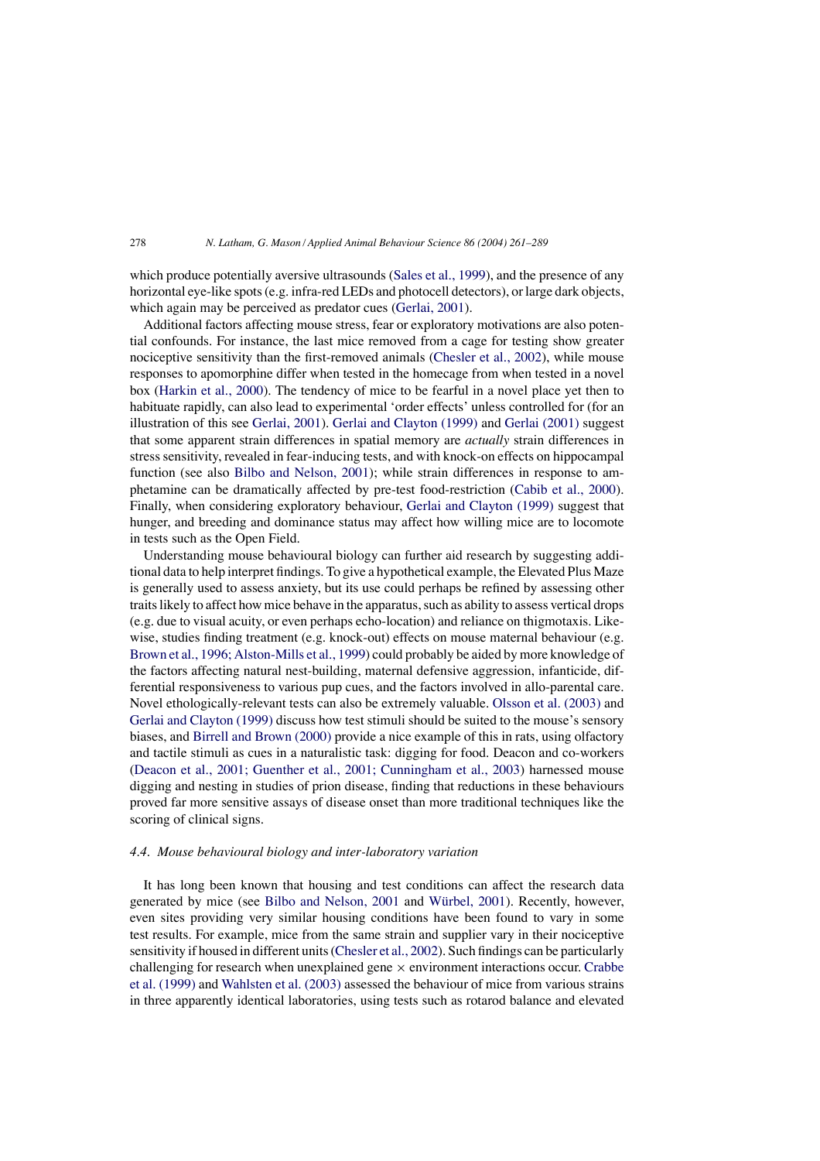which produce potentially aversive ultrasounds (Sales et al., [1999\),](#page-26-20) and the presence of any horizontal eye-like spots (e.g. infra-red LEDs and photocell detectors), or large dark objects, which again may be perceived as predator cues [\(Gerlai,](#page-22-19) 2001).

Additional factors affecting mouse stress, fear or exploratory motivations are also potential confounds. For instance, the last mice removed from a cage for testing show greater nociceptive sensitivity than the first-removed animals ([Chesler](#page-21-15) et al., 2002), while mouse responses to apomorphine differ when tested in the homecage from when tested in a novel box [\(Harkin](#page-23-18) et al., 2000). The tendency of mice to be fearful in a novel place yet then to habituate rapidly, can also lead to experimental 'order effects' unless controlled for (for an illustration of this see [Gerlai,](#page-22-19) 2001). Gerlai and [Clayton](#page-22-20) (1999) and Gerlai [\(2001\)](#page-22-19) suggest that some apparent strain differences in spatial memory are *actually* strain differences in stress sensitivity, revealed in fear-inducing tests, and with knock-on effects on hippocampal function (see also Bilbo and [Nelson,](#page-20-21) 2001); while strain differences in response to amphetamine can be dramatically affected by pre-test food-restriction ([Cabib](#page-21-17) et al., 2000). Finally, when considering exploratory behaviour, Gerlai and [Clayton](#page-22-20) (1999) suggest that hunger, and breeding and dominance status may affect how willing mice are to locomote in tests such as the Open Field.

Understanding mouse behavioural biology can further aid research by suggesting additional data to help interpret findings. To give a hypothetical example, the Elevated Plus Maze is generally used to assess anxiety, but its use could perhaps be refined by assessing other traits likely to affect how mice behave in the apparatus, such as ability to assess vertical drops (e.g. due to visual acuity, or even perhaps echo-location) and reliance on thigmotaxis. Likewise, studies finding treatment (e.g. knock-out) effects on mouse maternal behaviour (e.g. Brown et al., 1996; [Alston-Mills](#page-21-18) et al., 1999) could probably be aided by more knowledge of the factors affecting natural nest-building, maternal defensive aggression, infanticide, differential responsiveness to various pup cues, and the factors involved in allo-parental care. Novel ethologically-relevant tests can also be extremely valuable. [Olsson](#page-25-3) et al. (2003) and Gerlai and [Clayton](#page-22-20) (1999) discuss how test stimuli should be suited to the mouse's sensory biases, and Birrell and [Brown](#page-20-22) (2000) provide a nice example of this in rats, using olfactory and tactile stimuli as cues in a naturalistic task: digging for food. Deacon and co-workers (Deacon et al., 2001; Guenther et al., 2001; [Cunningham](#page-21-19) et al., 2003) harnessed mouse digging and nesting in studies of prion disease, finding that reductions in these behaviours proved far more sensitive assays of disease onset than more traditional techniques like the scoring of clinical signs.

## *4.4. Mouse behavioural biology and inter-laboratory variation*

It has long been known that housing and test conditions can affect the research data generated by mice (see Bilbo and [Nelson,](#page-20-21) 2001 and [Würbel,](#page-27-19) 2001). Recently, however, even sites providing very similar housing conditions have been found to vary in some test results. For example, mice from the same strain and supplier vary in their nociceptive sensitivity if housed in different units[\(Chesler](#page-21-15) et al., 2002). Such findings can be particularly challenging for research when unexplained gene  $\times$  environment interactions occur. [Crabbe](#page-21-20) et al. [\(1999\)](#page-21-20) and [Wahlsten](#page-27-20) et al. (2003) assessed the behaviour of mice from various strains in three apparently identical laboratories, using tests such as rotarod balance and elevated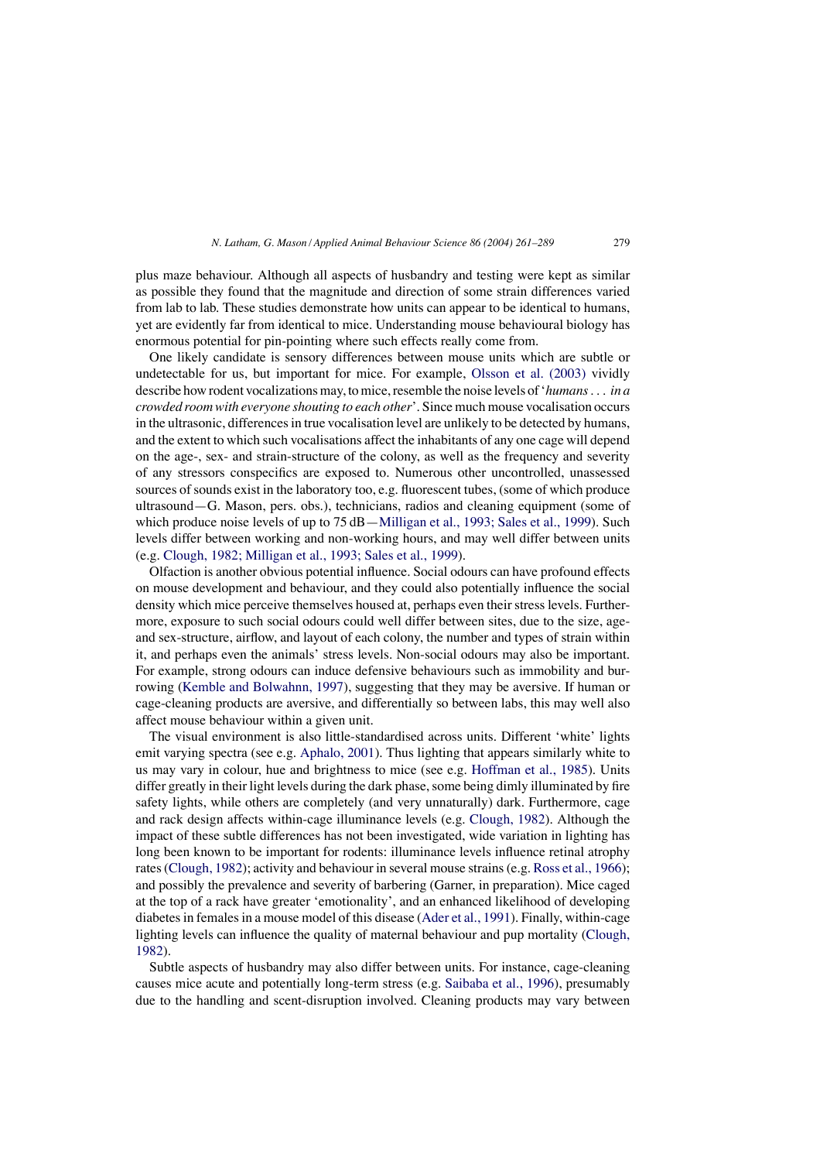plus maze behaviour. Although all aspects of husbandry and testing were kept as similar as possible they found that the magnitude and direction of some strain differences varied from lab to lab. These studies demonstrate how units can appear to be identical to humans, yet are evidently far from identical to mice. Understanding mouse behavioural biology has enormous potential for pin-pointing where such effects really come from.

One likely candidate is sensory differences between mouse units which are subtle or undetectable for us, but important for mice. For example, [Olsson](#page-25-3) et al. (2003) vividly describe howrodent vocalizationsmay, tomice,resemble the noise levels of'*humans*. . . *in a crowded room with everyone shouting to each other*'. Since much mouse vocalisation occurs in the ultrasonic, differences in true vocalisation level are unlikely to be detected by humans, and the extent to which such vocalisations affect the inhabitants of any one cage will depend on the age-, sex- and strain-structure of the colony, as well as the frequency and severity of any stressors conspecifics are exposed to. Numerous other uncontrolled, unassessed sources of sounds exist in the laboratory too, e.g. fluorescent tubes, (some of which produce ultrasound—G. Mason, pers. obs.), technicians, radios and cleaning equipment (some of which produce noise levels of up to  $75 \text{ dB}$ [—Milligan](#page-25-24) et al., 1993; Sales et al., 1999). Such levels differ between working and non-working hours, and may well differ between units (e.g. Clough, 1982; [Milligan](#page-21-3) et al., 1993; Sales et al., 1999).

Olfaction is another obvious potential influence. Social odours can have profound effects on mouse development and behaviour, and they could also potentially influence the social density which mice perceive themselves housed at, perhaps even their stress levels. Furthermore, exposure to such social odours could well differ between sites, due to the size, ageand sex-structure, airflow, and layout of each colony, the number and types of strain within it, and perhaps even the animals' stress levels. Non-social odours may also be important. For example, strong odours can induce defensive behaviours such as immobility and burrowing (Kemble and [Bolwahnn,](#page-23-8) 1997), suggesting that they may be aversive. If human or cage-cleaning products are aversive, and differentially so between labs, this may well also affect mouse behaviour within a given unit.

The visual environment is also little-standardised across units. Different 'white' lights emit varying spectra (see e.g. [Aphalo,](#page-20-23) 2001). Thus lighting that appears similarly white to us may vary in colour, hue and brightness to mice (see e.g. [Hoffman](#page-23-19) et al., 1985). Units differ greatly in their light levels during the dark phase, some being dimly illuminated by fire safety lights, while others are completely (and very unnaturally) dark. Furthermore, cage and rack design affects within-cage illuminance levels (e.g. [Clough,](#page-21-3) 1982). Although the impact of these subtle differences has not been investigated, wide variation in lighting has long been known to be important for rodents: illuminance levels influence retinal atrophy rates [\(Clough,](#page-21-3) 1982); activity and behaviour in several mouse strains (e.g. Ross et al., [1966\);](#page-26-21) and possibly the prevalence and severity of barbering (Garner, in preparation). Mice caged at the top of a rack have greater 'emotionality', and an enhanced likelihood of developing diabetesin femalesin a mouse model of this disease (Ader et al., [1991\).](#page-19-1) Finally, within-cage lighting levels can influence the quality of maternal behaviour and pup mortality [\(Clough,](#page-21-3) [1982\).](#page-21-3)

Subtle aspects of husbandry may also differ between units. For instance, cage-cleaning causes mice acute and potentially long-term stress (e.g. [Saibaba](#page-26-22) et al., 1996), presumably due to the handling and scent-disruption involved. Cleaning products may vary between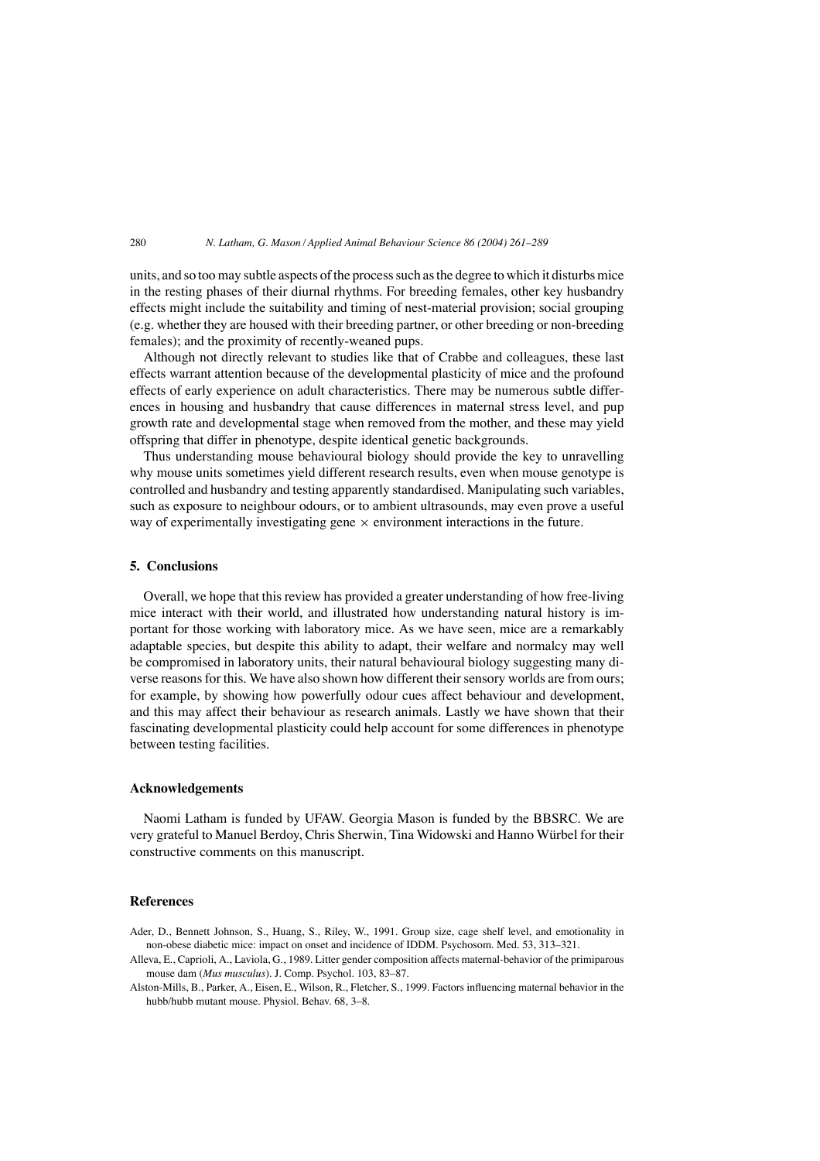units, and so too may subtle aspects of the process such as the degree to which it disturbs mice in the resting phases of their diurnal rhythms. For breeding females, other key husbandry effects might include the suitability and timing of nest-material provision; social grouping (e.g. whether they are housed with their breeding partner, or other breeding or non-breeding females); and the proximity of recently-weaned pups.

Although not directly relevant to studies like that of Crabbe and colleagues, these last effects warrant attention because of the developmental plasticity of mice and the profound effects of early experience on adult characteristics. There may be numerous subtle differences in housing and husbandry that cause differences in maternal stress level, and pup growth rate and developmental stage when removed from the mother, and these may yield offspring that differ in phenotype, despite identical genetic backgrounds.

Thus understanding mouse behavioural biology should provide the key to unravelling why mouse units sometimes yield different research results, even when mouse genotype is controlled and husbandry and testing apparently standardised. Manipulating such variables, such as exposure to neighbour odours, or to ambient ultrasounds, may even prove a useful way of experimentally investigating gene  $\times$  environment interactions in the future.

## **5. Conclusions**

Overall, we hope that this review has provided a greater understanding of how free-living mice interact with their world, and illustrated how understanding natural history is important for those working with laboratory mice. As we have seen, mice are a remarkably adaptable species, but despite this ability to adapt, their welfare and normalcy may well be compromised in laboratory units, their natural behavioural biology suggesting many diverse reasons for this. We have also shown how different their sensory worlds are from ours; for example, by showing how powerfully odour cues affect behaviour and development, and this may affect their behaviour as research animals. Lastly we have shown that their fascinating developmental plasticity could help account for some differences in phenotype between testing facilities.

#### **Acknowledgements**

Naomi Latham is funded by UFAW. Georgia Mason is funded by the BBSRC. We are very grateful to Manuel Berdoy, Chris Sherwin, Tina Widowski and Hanno Würbel for their constructive comments on this manuscript.

## <span id="page-19-1"></span>**References**

- <span id="page-19-0"></span>Ader, D., Bennett Johnson, S., Huang, S., Riley, W., 1991. Group size, cage shelf level, and emotionality in non-obese diabetic mice: impact on onset and incidence of IDDM. Psychosom. Med. 53, 313–321.
- Alleva, E., Caprioli, A., Laviola, G., 1989. Litter gender composition affects maternal-behavior of the primiparous mouse dam (*Mus musculus*). J. Comp. Psychol. 103, 83–87.

Alston-Mills, B., Parker, A., Eisen, E., Wilson, R., Fletcher, S., 1999. Factors influencing maternal behavior in the hubb/hubb mutant mouse. Physiol. Behav. 68, 3–8.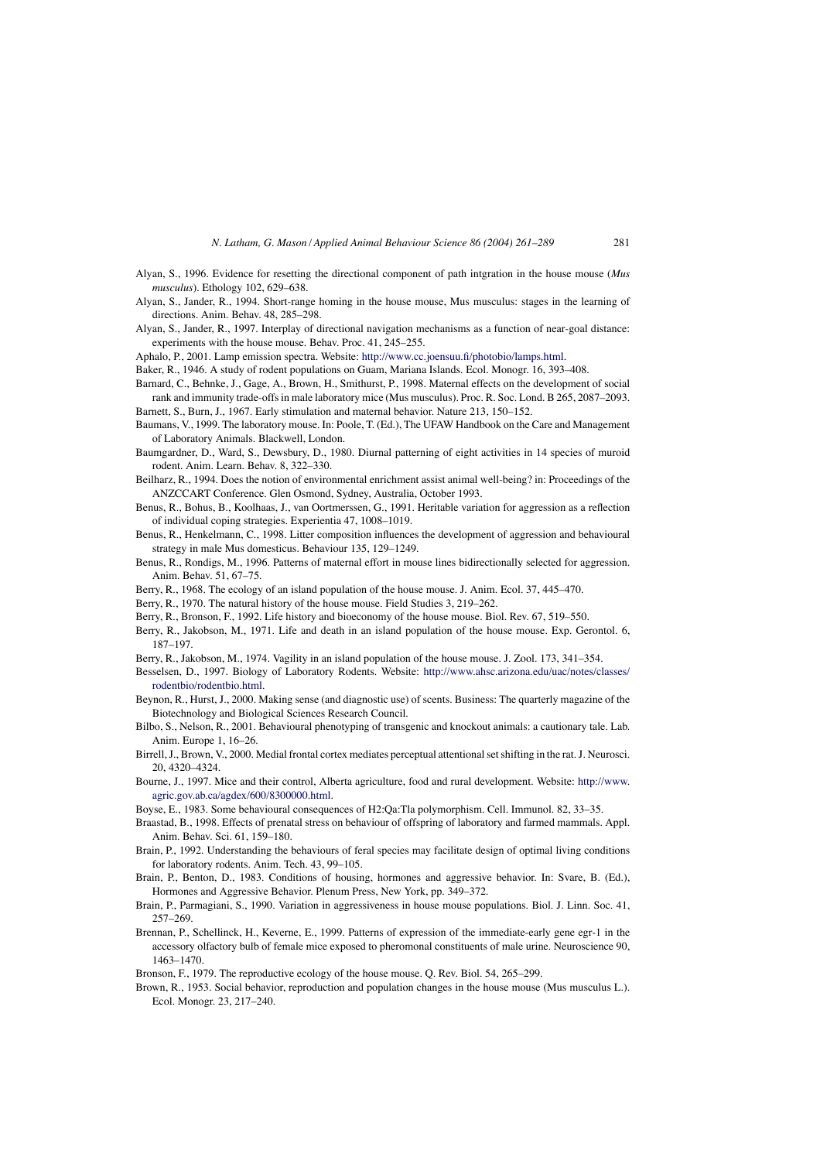- <span id="page-20-12"></span>Alyan, S., 1996. Evidence for resetting the directional component of path intgration in the house mouse (*Mus musculus*). Ethology 102, 629–638.
- Alyan, S., Jander, R., 1994. Short-range homing in the house mouse, Mus musculus: stages in the learning of directions. Anim. Behav. 48, 285–298.
- <span id="page-20-23"></span><span id="page-20-6"></span>Alyan, S., Jander, R., 1997. Interplay of directional navigation mechanisms as a function of near-goal distance: experiments with the house mouse. Behav. Proc. 41, 245–255.
- Aphalo, P., 2001. Lamp emission spectra. Website: <http://www.cc.joensuu.fi/photobio/lamps.html>.
- Baker, R., 1946. A study of rodent populations on Guam, Mariana Islands. Ecol. Monogr. 16, 393–408.
- <span id="page-20-5"></span><span id="page-20-1"></span>Barnard, C., Behnke, J., Gage, A., Brown, H., Smithurst, P., 1998. Maternal effects on the development of social rank and immunity trade-offsin male laboratory mice (Mus musculus). Proc. R. Soc. Lond. B 265, 2087–2093.
- Barnett, S., Burn, J., 1967. Early stimulation and maternal behavior. Nature 213, 150–152.
- <span id="page-20-10"></span>Baumans, V., 1999. The laboratory mouse. In: Poole, T. (Ed.), The UFAW Handbook on the Care and Management of Laboratory Animals. Blackwell, London.
- <span id="page-20-20"></span>Baumgardner, D., Ward, S., Dewsbury, D., 1980. Diurnal patterning of eight activities in 14 species of muroid rodent. Anim. Learn. Behav. 8, 322–330.
- <span id="page-20-13"></span>Beilharz, R., 1994. Does the notion of environmental enrichment assist animal well-being? in: Proceedings of the ANZCCART Conference. Glen Osmond, Sydney, Australia, October 1993.
- <span id="page-20-17"></span>Benus, R., Bohus, B., Koolhaas, J., van Oortmerssen, G., 1991. Heritable variation for aggression as a reflection of individual coping strategies. Experientia 47, 1008–1019.
- Benus, R., Henkelmann, C., 1998. Litter composition influences the development of aggression and behavioural strategy in male Mus domesticus. Behaviour 135, 129–1249.
- <span id="page-20-15"></span><span id="page-20-2"></span>Benus, R., Rondigs, M., 1996. Patterns of maternal effort in mouse lines bidirectionally selected for aggression. Anim. Behav. 51, 67–75.
- <span id="page-20-18"></span>Berry, R., 1968. The ecology of an island population of the house mouse. J. Anim. Ecol. 37, 445–470.
- <span id="page-20-19"></span>Berry, R., 1970. The natural history of the house mouse. Field Studies 3, 219–262.
- <span id="page-20-7"></span>Berry, R., Bronson, F., 1992. Life history and bioeconomy of the house mouse. Biol. Rev. 67, 519–550.
- Berry, R., Jakobson, M., 1971. Life and death in an island population of the house mouse. Exp. Gerontol. 6, 187–197.
- Berry, R., Jakobson, M., 1974. Vagility in an island population of the house mouse. J. Zool. 173, 341–354.
- <span id="page-20-8"></span>Besselsen, D., 1997. Biology of Laboratory Rodents. Website: [http://www.ahsc.arizona.edu/uac/notes/classes/](http://www.ahsc.arizona.edu/uac/notes/classes/rodentbio/rodentbio.html) [rodentbio/rodentbio.html](http://www.ahsc.arizona.edu/uac/notes/classes/rodentbio/rodentbio.html).
- <span id="page-20-21"></span>Beynon, R., Hurst, J., 2000. Making sense (and diagnostic use) of scents. Business: The quarterly magazine of the Biotechnology and Biological Sciences Research Council.
- <span id="page-20-22"></span>Bilbo, S., Nelson, R., 2001. Behavioural phenotyping of transgenic and knockout animals: a cautionary tale. Lab. Anim. Europe 1, 16–26.
- Birrell, J., Brown, V., 2000. Medial frontal cortex mediates perceptual attentional set shifting in the rat. J. Neurosci. 20, 4320–4324.
- <span id="page-20-16"></span><span id="page-20-4"></span>Bourne, J., 1997. Mice and their control, Alberta agriculture, food and rural development. Website: [http://www.](http://www.agric.gov.ab.ca/agdex/600/8300000.html) [agric.gov.ab.ca/agdex/600/8300000.html.](http://www.agric.gov.ab.ca/agdex/600/8300000.html)
- Boyse, E., 1983. Some behavioural consequences of H2:Qa:Tla polymorphism. Cell. Immunol. 82, 33–35.
- Braastad, B., 1998. Effects of prenatal stress on behaviour of offspring of laboratory and farmed mammals. Appl. Anim. Behav. Sci. 61, 159–180.
- <span id="page-20-11"></span>Brain, P., 1992. Understanding the behaviours of feral species may facilitate design of optimal living conditions for laboratory rodents. Anim. Tech. 43, 99–105.
- <span id="page-20-14"></span>Brain, P., Benton, D., 1983. Conditions of housing, hormones and aggressive behavior. In: Svare, B. (Ed.), Hormones and Aggressive Behavior. Plenum Press, New York, pp. 349–372.
- <span id="page-20-9"></span>Brain, P., Parmagiani, S., 1990. Variation in aggressiveness in house mouse populations. Biol. J. Linn. Soc. 41, 257–269.
- <span id="page-20-0"></span>Brennan, P., Schellinck, H., Keverne, E., 1999. Patterns of expression of the immediate-early gene egr-1 in the accessory olfactory bulb of female mice exposed to pheromonal constituents of male urine. Neuroscience 90, 1463–1470.
- <span id="page-20-3"></span>Bronson, F., 1979. The reproductive ecology of the house mouse. Q. Rev. Biol. 54, 265–299.
- Brown, R., 1953. Social behavior, reproduction and population changes in the house mouse (Mus musculus L.). Ecol. Monogr. 23, 217–240.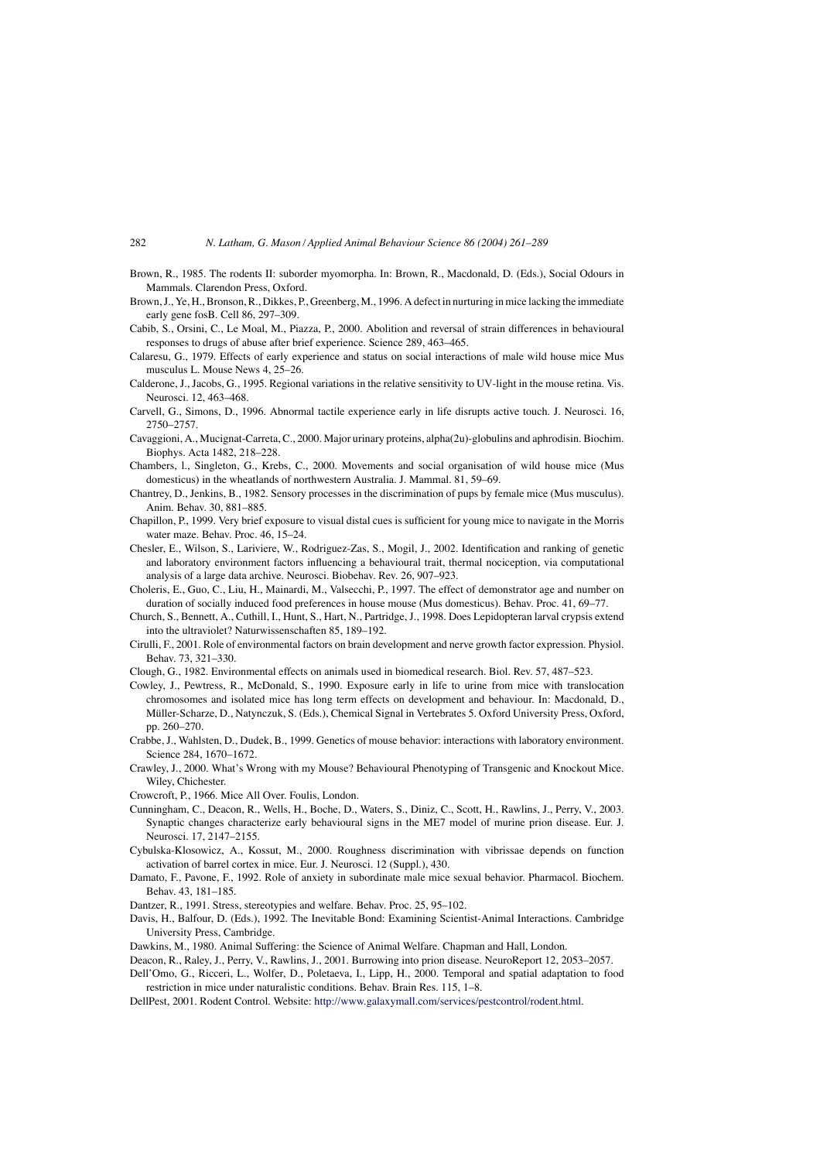- <span id="page-21-18"></span><span id="page-21-7"></span>Brown, R., 1985. The rodents II: suborder myomorpha. In: Brown, R., Macdonald, D. (Eds.), Social Odours in Mammals. Clarendon Press, Oxford.
- <span id="page-21-17"></span>Brown,J., Ye, H.,Bronson,R., Dikkes, P., Greenberg, M., 1996. A defect in nurturing inmice lacking the immediate early gene fosB. Cell 86, 297–309.
- Cabib, S., Orsini, C., Le Moal, M., Piazza, P., 2000. Abolition and reversal of strain differences in behavioural responses to drugs of abuse after brief experience. Science 289, 463–465.
- <span id="page-21-2"></span>Calaresu, G., 1979. Effects of early experience and status on social interactions of male wild house mice Mus musculus L. Mouse News 4, 25–26.
- <span id="page-21-14"></span>Calderone, J., Jacobs, G., 1995. Regional variations in the relative sensitivity to UV-light in the mouse retina. Vis. Neurosci. 12, 463–468.
- <span id="page-21-9"></span>Carvell, G., Simons, D., 1996. Abnormal tactile experience early in life disrupts active touch. J. Neurosci. 16, 2750–2757.
- <span id="page-21-8"></span>Cavaggioni, A., Mucignat-Carreta, C., 2000. Major urinary proteins, alpha(2u)-globulins and aphrodisin. Biochim. Biophys. Acta 1482, 218–228.
- <span id="page-21-12"></span>Chambers, l., Singleton, G., Krebs, C., 2000. Movements and social organisation of wild house mice (Mus domesticus) in the wheatlands of northwestern Australia. J. Mammal. 81, 59–69.
- Chantrey, D., Jenkins, B., 1982. Sensory processes in the discrimination of pups by female mice (Mus musculus). Anim. Behav. 30, 881–885.
- <span id="page-21-15"></span>Chapillon, P., 1999. Very brief exposure to visual distal cues is sufficient for young mice to navigate in the Morris water maze. Behav. Proc. 46, 15–24.
- <span id="page-21-5"></span>Chesler, E., Wilson, S., Lariviere, W., Rodriguez-Zas, S., Mogil, J., 2002. Identification and ranking of genetic and laboratory environment factors influencing a behavioural trait, thermal nociception, via computational analysis of a large data archive. Neurosci. Biobehav. Rev. 26, 907–923.
- Choleris, E., Guo, C., Liu, H., Mainardi, M., Valsecchi, P., 1997. The effect of demonstrator age and number on duration of socially induced food preferences in house mouse (Mus domesticus). Behav. Proc. 41, 69–77.
- Church, S., Bennett, A., Cuthill, I., Hunt, S., Hart, N., Partridge, J., 1998. Does Lepidopteran larval crypsis extend into the ultraviolet? Naturwissenschaften 85, 189–192.
- <span id="page-21-6"></span><span id="page-21-3"></span>Cirulli, F., 2001. Role of environmental factors on brain development and nerve growth factor expression. Physiol. Behav. 73, 321–330.
- Clough, G., 1982. Environmental effects on animals used in biomedical research. Biol. Rev. 57, 487–523.
- <span id="page-21-20"></span>Cowley, J., Pewtress, R., McDonald, S., 1990. Exposure early in life to urine from mice with translocation chromosomes and isolated mice has long term effects on development and behaviour. In: Macdonald, D., Müller-Scharze, D., Natynczuk, S. (Eds.), Chemical Signal in Vertebrates 5. Oxford University Press, Oxford, pp. 260–270.
- <span id="page-21-1"></span>Crabbe, J., Wahlsten, D., Dudek, B., 1999. Genetics of mouse behavior: interactions with laboratory environment. Science 284, 1670–1672.
- <span id="page-21-4"></span>Crawley, J., 2000. What's Wrong with my Mouse? Behavioural Phenotyping of Transgenic and Knockout Mice. Wiley, Chichester.
- Crowcroft, P., 1966. Mice All Over. Foulis, London.
- Cunningham, C., Deacon, R., Wells, H., Boche, D., Waters, S., Diniz, C., Scott, H., Rawlins, J., Perry, V., 2003. Synaptic changes characterize early behavioural signs in the ME7 model of murine prion disease. Eur. J. Neurosci. 17, 2147–2155.
- <span id="page-21-11"></span>Cybulska-Klosowicz, A., Kossut, M., 2000. Roughness discrimination with vibrissae depends on function activation of barrel cortex in mice. Eur. J. Neurosci. 12 (Suppl.), 430.
- <span id="page-21-16"></span><span id="page-21-13"></span>Damato, F., Pavone, F., 1992. Role of anxiety in subordinate male mice sexual behavior. Pharmacol. Biochem. Behav. 43, 181–185.
- Dantzer, R., 1991. Stress, stereotypies and welfare. Behav. Proc. 25, 95–102.
- <span id="page-21-19"></span><span id="page-21-0"></span>Davis, H., Balfour, D. (Eds.), 1992. The Inevitable Bond: Examining Scientist-Animal Interactions. Cambridge University Press, Cambridge.
- <span id="page-21-10"></span>Dawkins, M., 1980. Animal Suffering: the Science of Animal Welfare. Chapman and Hall, London.
- Deacon, R., Raley, J., Perry, V., Rawlins, J., 2001. Burrowing into prion disease. NeuroReport 12, 2053–2057.
- Dell'Omo, G., Ricceri, L., Wolfer, D., Poletaeva, I., Lipp, H., 2000. Temporal and spatial adaptation to food restriction in mice under naturalistic conditions. Behav. Brain Res. 115, 1–8.
- DellPest, 2001. Rodent Control. Website: [http://www.galaxymall.com/services/pestcontrol/rodent.html.](http://www.galaxymall.com/services/pestcontrol/rodent.html)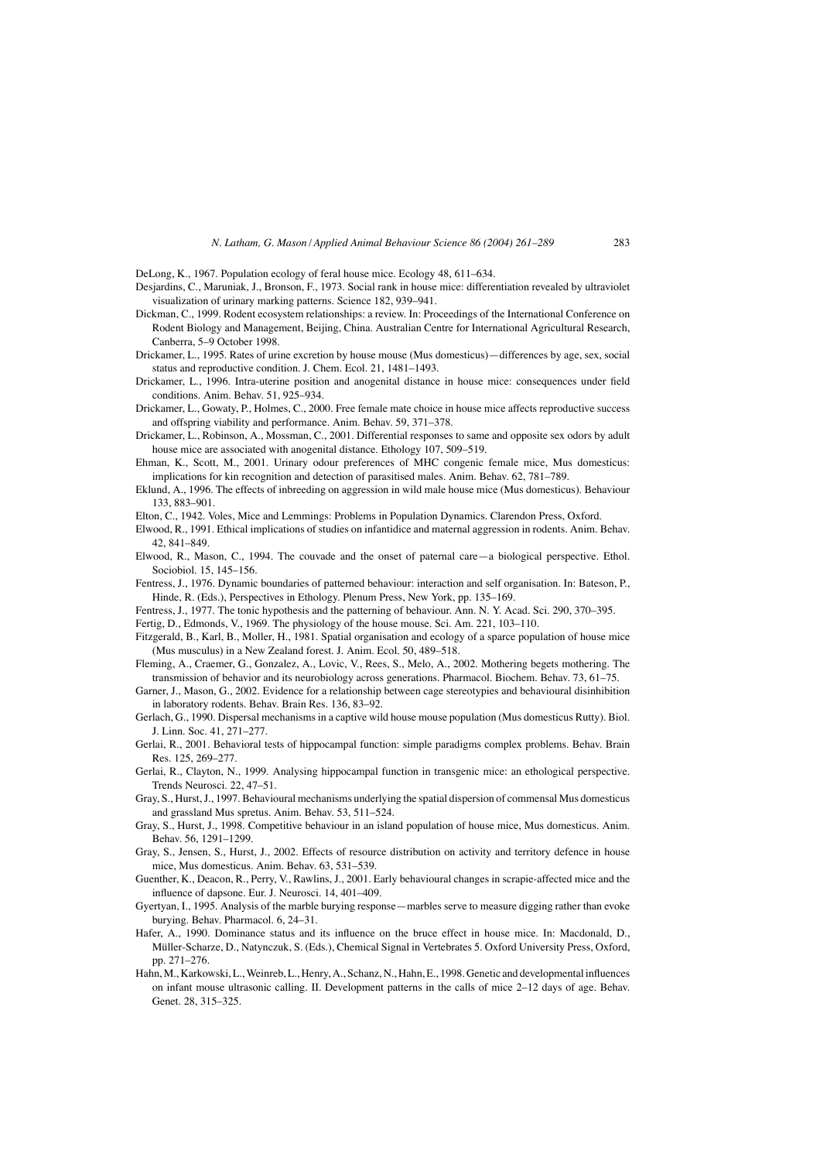<span id="page-22-8"></span>DeLong, K., 1967. Population ecology of feral house mice. Ecology 48, 611–634.

- <span id="page-22-5"></span>Desjardins, C., Maruniak, J., Bronson, F., 1973. Social rank in house mice: differentiation revealed by ultraviolet visualization of urinary marking patterns. Science 182, 939–941.
- <span id="page-22-7"></span>Dickman, C., 1999. Rodent ecosystem relationships: a review. In: Proceedings of the International Conference on Rodent Biology and Management, Beijing, China. Australian Centre for International Agricultural Research, Canberra, 5–9 October 1998.
- <span id="page-22-1"></span>Drickamer, L., 1995. Rates of urine excretion by house mouse (Mus domesticus)—differences by age, sex, social status and reproductive condition. J. Chem. Ecol. 21, 1481–1493.
- <span id="page-22-14"></span>Drickamer, L., 1996. Intra-uterine position and anogenital distance in house mice: consequences under field conditions. Anim. Behav. 51, 925–934.
- <span id="page-22-15"></span>Drickamer, L., Gowaty, P., Holmes, C., 2000. Free female mate choice in house mice affects reproductive success and offspring viability and performance. Anim. Behav. 59, 371–378.
- <span id="page-22-13"></span>Drickamer, L., Robinson, A., Mossman, C., 2001. Differential responses to same and opposite sex odors by adult house mice are associated with anogenital distance. Ethology 107, 509–519.
- <span id="page-22-12"></span>Ehman, K., Scott, M., 2001. Urinary odour preferences of MHC congenic female mice, Mus domesticus: implications for kin recognition and detection of parasitised males. Anim. Behav. 62, 781–789.
- <span id="page-22-18"></span>Eklund, A., 1996. The effects of inbreeding on aggression in wild male house mice (Mus domesticus). Behaviour 133, 883–901.
- <span id="page-22-17"></span>Elton, C., 1942. Voles, Mice and Lemmings: Problems in Population Dynamics. Clarendon Press, Oxford.
- Elwood, R., 1991. Ethical implications of studies on infantidice and maternal aggression in rodents. Anim. Behav. 42, 841–849.
- <span id="page-22-9"></span>Elwood, R., Mason, C., 1994. The couvade and the onset of paternal care—a biological perspective. Ethol. Sociobiol. 15, 145–156.
- <span id="page-22-10"></span>Fentress, J., 1976. Dynamic boundaries of patterned behaviour: interaction and self organisation. In: Bateson, P., Hinde, R. (Eds.), Perspectives in Ethology. Plenum Press, New York, pp. 135–169.
- <span id="page-22-6"></span>Fentress, J., 1977. The tonic hypothesis and the patterning of behaviour. Ann. N. Y. Acad. Sci. 290, 370–395.

Fertig, D., Edmonds, V., 1969. The physiology of the house mouse. Sci. Am. 221, 103–110.

- <span id="page-22-2"></span>Fitzgerald, B., Karl, B., Moller, H., 1981. Spatial organisation and ecology of a sparce population of house mice (Mus musculus) in a New Zealand forest. J. Anim. Ecol. 50, 489–518.
- Fleming, A., Craemer, G., Gonzalez, A., Lovic, V., Rees, S., Melo, A., 2002. Mothering begets mothering. The transmission of behavior and its neurobiology across generations. Pharmacol. Biochem. Behav. 73, 61–75.
- <span id="page-22-3"></span>Garner, J., Mason, G., 2002. Evidence for a relationship between cage stereotypies and behavioural disinhibition in laboratory rodents. Behav. Brain Res. 136, 83–92.
- <span id="page-22-19"></span>Gerlach, G., 1990. Dispersal mechanisms in a captive wild house mouse population (Mus domesticus Rutty). Biol. J. Linn. Soc. 41, 271–277.
- <span id="page-22-20"></span>Gerlai, R., 2001. Behavioral tests of hippocampal function: simple paradigms complex problems. Behav. Brain Res. 125, 269–277.
- Gerlai, R., Clayton, N., 1999. Analysing hippocampal function in transgenic mice: an ethological perspective. Trends Neurosci. 22, 47–51.
- <span id="page-22-0"></span>Gray, S., Hurst,J., 1997. Behavioural mechanisms underlying the spatial dispersion of commensal Mus domesticus and grassland Mus spretus. Anim. Behav. 53, 511–524.
- <span id="page-22-11"></span>Gray, S., Hurst, J., 1998. Competitive behaviour in an island population of house mice, Mus domesticus. Anim. Behav. 56, 1291–1299.
- Gray, S., Jensen, S., Hurst, J., 2002. Effects of resource distribution on activity and territory defence in house mice, Mus domesticus. Anim. Behav. 63, 531–539.
- <span id="page-22-4"></span>Guenther, K., Deacon, R., Perry, V., Rawlins, J., 2001. Early behavioural changes in scrapie-affected mice and the influence of dapsone. Eur. J. Neurosci. 14, 401–409.
- <span id="page-22-16"></span>Gyertyan, I., 1995. Analysis of the marble burying response—marbles serve to measure digging rather than evoke burying. Behav. Pharmacol. 6, 24–31.
- Hafer, A., 1990. Dominance status and its influence on the bruce effect in house mice. In: Macdonald, D., Müller-Scharze, D., Natynczuk, S. (Eds.), Chemical Signal in Vertebrates 5. Oxford University Press, Oxford, pp. 271–276.
- Hahn,M.,Karkowski,L.,Weinreb,L.,Henry,A., Schanz,N.,Hahn,E., 1998.Genetic and developmental influences on infant mouse ultrasonic calling. II. Development patterns in the calls of mice 2–12 days of age. Behav. Genet. 28, 315–325.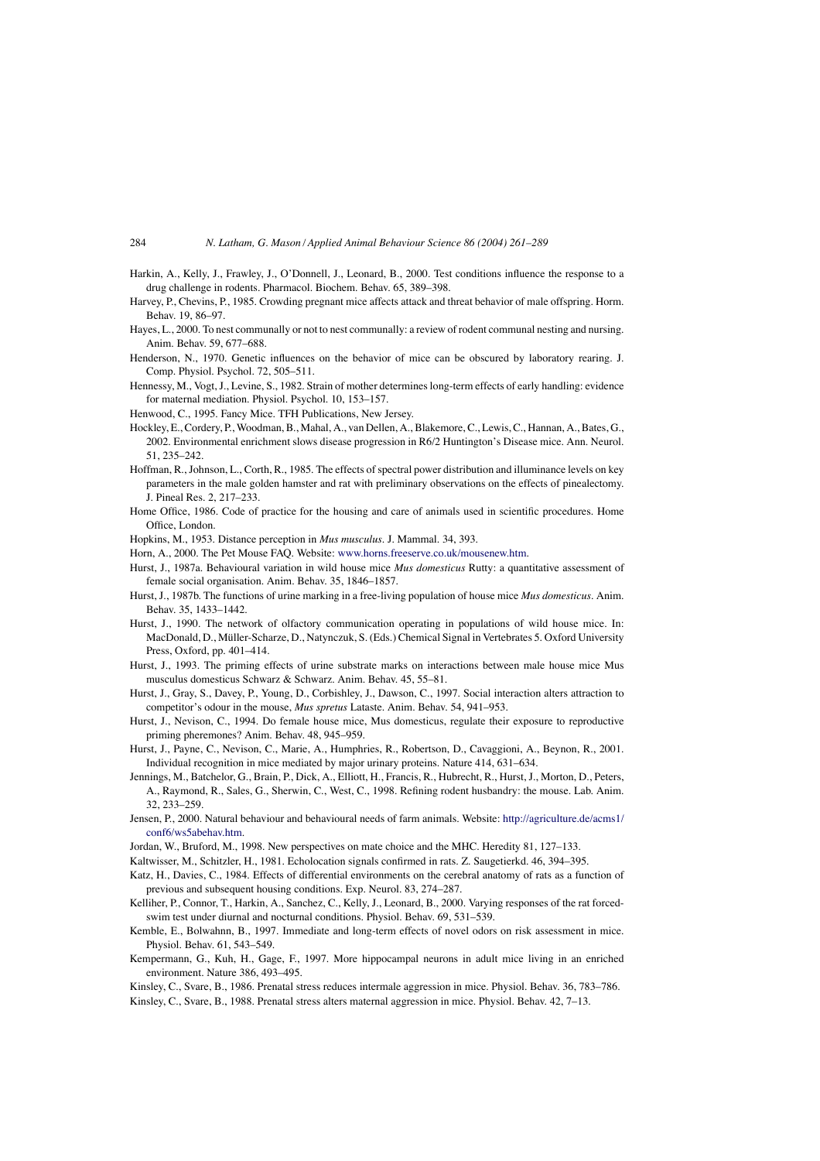- <span id="page-23-18"></span><span id="page-23-6"></span>Harkin, A., Kelly, J., Frawley, J., O'Donnell, J., Leonard, B., 2000. Test conditions influence the response to a drug challenge in rodents. Pharmacol. Biochem. Behav. 65, 389–398.
- <span id="page-23-14"></span>Harvey, P., Chevins, P., 1985. Crowding pregnant mice affects attack and threat behavior of male offspring. Horm. Behav. 19, 86–97.
- <span id="page-23-16"></span>Hayes, L., 2000. To nest communally or not to nest communally: a review of rodent communal nesting and nursing. Anim. Behav. 59, 677–688.
- Henderson, N., 1970. Genetic influences on the behavior of mice can be obscured by laboratory rearing. J. Comp. Physiol. Psychol. 72, 505–511.
- <span id="page-23-12"></span>Hennessy, M., Vogt,J., Levine, S., 1982. Strain of mother determineslong-term effects of early handling: evidence for maternal mediation. Physiol. Psychol. 10, 153–157.
- Henwood, C., 1995. Fancy Mice. TFH Publications, New Jersey.
- <span id="page-23-19"></span>Hockley, E.,Cordery, P., Woodman,B., Mahal, A., van Dellen, A.,Blakemore,C., Lewis,C., Hannan, A.,Bates, G., 2002. Environmental enrichment slows disease progression in R6/2 Huntington's Disease mice. Ann. Neurol. 51, 235–242.
- <span id="page-23-0"></span>Hoffman, R., Johnson, L., Corth, R., 1985. The effects of spectral power distribution and illuminance levels on key parameters in the male golden hamster and rat with preliminary observations on the effects of pinealectomy. J. Pineal Res. 2, 217–233.
- <span id="page-23-4"></span><span id="page-23-2"></span>Home Office, 1986. Code of practice for the housing and care of animals used in scientific procedures. Home Office, London.
- <span id="page-23-7"></span>Hopkins, M., 1953. Distance perception in *Mus musculus*. J. Mammal. 34, 393.
- Horn, A., 2000. The Pet Mouse FAQ. Website: [www.horns.freeserve.co.uk/mousenew.htm](http://www.horns.freeserve.co.uk/mousenew.htm).
- <span id="page-23-9"></span>Hurst, J., 1987a. Behavioural variation in wild house mice *Mus domesticus* Rutty: a quantitative assessment of female social organisation. Anim. Behav. 35, 1846–1857.
- <span id="page-23-10"></span>Hurst, J., 1987b. The functions of urine marking in a free-living population of house mice *Mus domesticus*. Anim. Behav. 35, 1433–1442.
- Hurst, J., 1990. The network of olfactory communication operating in populations of wild house mice. In: MacDonald, D., Müller-Scharze, D., Natynczuk, S. (Eds.) Chemical Signal in Vertebrates 5. Oxford University Press, Oxford, pp. 401–414.
- Hurst, J., 1993. The priming effects of urine substrate marks on interactions between male house mice Mus musculus domesticus Schwarz & Schwarz. Anim. Behav. 45, 55–81.
- Hurst, J., Gray, S., Davey, P., Young, D., Corbishley, J., Dawson, C., 1997. Social interaction alters attraction to competitor's odour in the mouse, *Mus spretus* Lataste. Anim. Behav. 54, 941–953.
- <span id="page-23-11"></span>Hurst, J., Nevison, C., 1994. Do female house mice, Mus domesticus, regulate their exposure to reproductive priming pheremones? Anim. Behav. 48, 945–959.
- <span id="page-23-1"></span>Hurst, J., Payne, C., Nevison, C., Marie, A., Humphries, R., Robertson, D., Cavaggioni, A., Beynon, R., 2001. Individual recognition in mice mediated by major urinary proteins. Nature 414, 631–634.
- Jennings, M., Batchelor, G., Brain, P., Dick, A., Elliott, H., Francis, R., Hubrecht, R., Hurst, J., Morton, D., Peters, A., Raymond, R., Sales, G., Sherwin, C., West, C., 1998. Refining rodent husbandry: the mouse. Lab. Anim. 32, 233–259.
- <span id="page-23-13"></span><span id="page-23-3"></span>Jensen, P., 2000. Natural behaviour and behavioural needs of farm animals. Website: [http://agriculture.de/acms1/](http://agriculture.de/acms1/conf6/ws5abehav.htm) [conf6/ws5abehav.htm.](http://agriculture.de/acms1/conf6/ws5abehav.htm)
- <span id="page-23-15"></span>Jordan, W., Bruford, M., 1998. New perspectives on mate choice and the MHC. Heredity 81, 127–133.
- Kaltwisser, M., Schitzler, H., 1981. Echolocation signals confirmed in rats. Z. Saugetierkd. 46, 394–395.
- <span id="page-23-17"></span>Katz, H., Davies, C., 1984. Effects of differential environments on the cerebral anatomy of rats as a function of previous and subsequent housing conditions. Exp. Neurol. 83, 274–287.
- <span id="page-23-8"></span>Kelliher, P., Connor, T., Harkin, A., Sanchez, C., Kelly, J., Leonard, B., 2000. Varying responses of the rat forcedswim test under diurnal and nocturnal conditions. Physiol. Behav. 69, 531–539.
- Kemble, E., Bolwahnn, B., 1997. Immediate and long-term effects of novel odors on risk assessment in mice. Physiol. Behav. 61, 543–549.
- <span id="page-23-5"></span>Kempermann, G., Kuh, H., Gage, F., 1997. More hippocampal neurons in adult mice living in an enriched environment. Nature 386, 493–495.
- Kinsley, C., Svare, B., 1986. Prenatal stress reduces intermale aggression in mice. Physiol. Behav. 36, 783–786.
- Kinsley, C., Svare, B., 1988. Prenatal stress alters maternal aggression in mice. Physiol. Behav. 42, 7–13.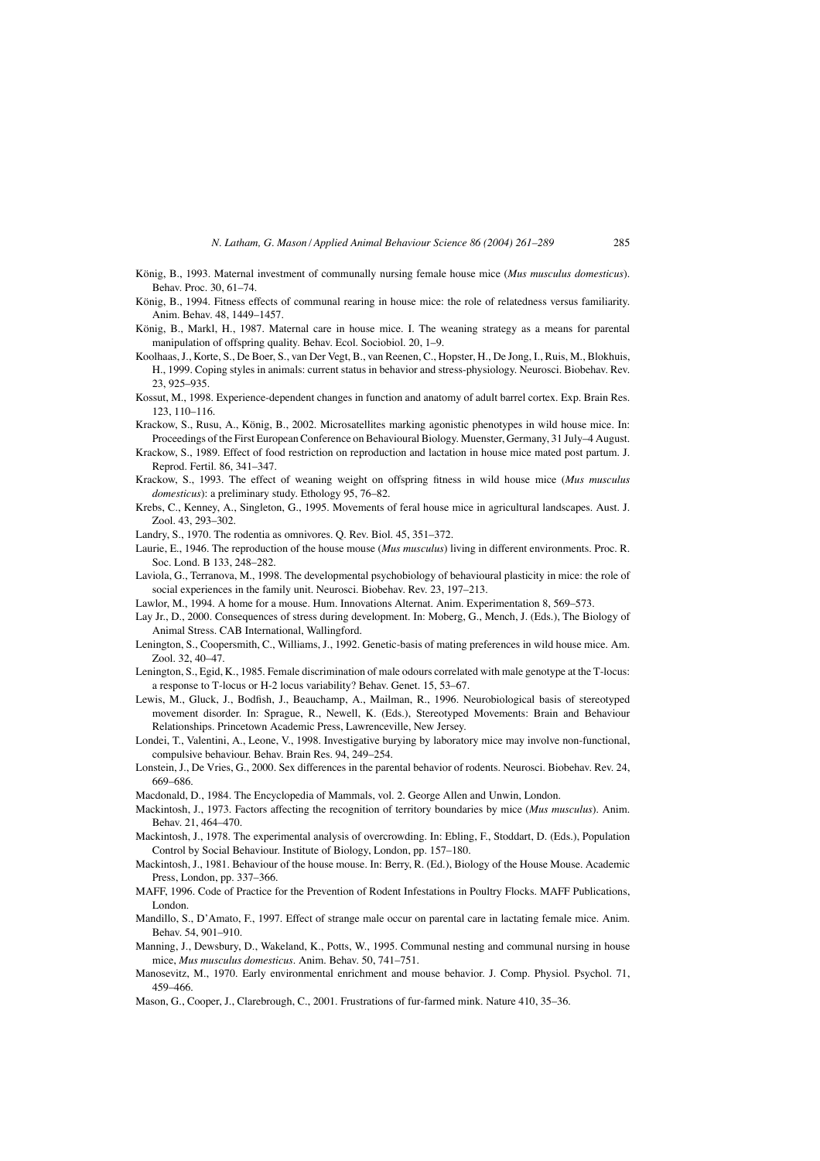- <span id="page-24-17"></span><span id="page-24-15"></span>König, B., 1993. Maternal investment of communally nursing female house mice (*Mus musculus domesticus*). Behav. Proc. 30, 61–74.
- <span id="page-24-4"></span>König, B., 1994. Fitness effects of communal rearing in house mice: the role of relatedness versus familiarity. Anim. Behav. 48, 1449–1457.
- König, B., Markl, H., 1987. Maternal care in house mice. I. The weaning strategy as a means for parental manipulation of offspring quality. Behav. Ecol. Sociobiol. 20, 1–9.
- Koolhaas, J., Korte, S., De Boer, S., van Der Vegt, B., van Reenen, C., Hopster, H., De Jong, I., Ruis, M., Blokhuis, H., 1999. Coping styles in animals: current status in behavior and stress-physiology. Neurosci. Biobehav. Rev. 23, 925–935.
- <span id="page-24-11"></span>Kossut, M., 1998. Experience-dependent changes in function and anatomy of adult barrel cortex. Exp. Brain Res. 123, 110–116.
- <span id="page-24-14"></span>Krackow, S., Rusu, A., König, B., 2002. Microsatellites marking agonistic phenotypes in wild house mice. In: Proceedings of the First European Conference on Behavioural Biology. Muenster, Germany, 31 July–4 August.
- <span id="page-24-5"></span>Krackow, S., 1989. Effect of food restriction on reproduction and lactation in house mice mated post partum. J. Reprod. Fertil. 86, 341–347.
- <span id="page-24-8"></span>Krackow, S., 1993. The effect of weaning weight on offspring fitness in wild house mice (*Mus musculus domesticus*): a preliminary study. Ethology 95, 76–82.
- <span id="page-24-10"></span><span id="page-24-9"></span>Krebs, C., Kenney, A., Singleton, G., 1995. Movements of feral house mice in agricultural landscapes. Aust. J. Zool. 43, 293–302.
- Landry, S., 1970. The rodentia as omnivores. Q. Rev. Biol. 45, 351–372.
- Laurie, E., 1946. The reproduction of the house mouse (*Mus musculus*) living in different environments. Proc. R. Soc. Lond. B 133, 248–282.
- <span id="page-24-6"></span><span id="page-24-1"></span>Laviola, G., Terranova, M., 1998. The developmental psychobiology of behavioural plasticity in mice: the role of social experiences in the family unit. Neurosci. Biobehav. Rev. 23, 197–213.
- Lawlor, M., 1994. A home for a mouse. Hum. Innovations Alternat. Anim. Experimentation 8, 569–573.
- <span id="page-24-12"></span>Lay Jr., D., 2000. Consequences of stress during development. In: Moberg, G., Mench, J. (Eds.), The Biology of Animal Stress. CAB International, Wallingford.
- Lenington, S., Coopersmith, C., Williams, J., 1992. Genetic-basis of mating preferences in wild house mice. Am. Zool. 32, 40–47.
- Lenington, S., Egid, K., 1985. Female discrimination of male odours correlated with male genotype at the T-locus: a response to T-locus or H-2 locus variability? Behav. Genet. 15, 53–67.
- Lewis, M., Gluck, J., Bodfish, J., Beauchamp, A., Mailman, R., 1996. Neurobiological basis of stereotyped movement disorder. In: Sprague, R., Newell, K. (Eds.), Stereotyped Movements: Brain and Behaviour Relationships. Princetown Academic Press, Lawrenceville, New Jersey.
- <span id="page-24-18"></span>Londei, T., Valentini, A., Leone, V., 1998. Investigative burying by laboratory mice may involve non-functional, compulsive behaviour. Behav. Brain Res. 94, 249–254.
- <span id="page-24-3"></span><span id="page-24-0"></span>Lonstein, J., De Vries, G., 2000. Sex differences in the parental behavior of rodents. Neurosci. Biobehav. Rev. 24, 669–686.
- Macdonald, D., 1984. The Encyclopedia of Mammals, vol. 2. George Allen and Unwin, London.
- <span id="page-24-7"></span>Mackintosh, J., 1973. Factors affecting the recognition of territory boundaries by mice (*Mus musculus*). Anim. Behav. 21, 464–470.
- <span id="page-24-2"></span>Mackintosh, J., 1978. The experimental analysis of overcrowding. In: Ebling, F., Stoddart, D. (Eds.), Population Control by Social Behaviour. Institute of Biology, London, pp. 157–180.
- Mackintosh, J., 1981. Behaviour of the house mouse. In: Berry, R. (Ed.), Biology of the House Mouse. Academic Press, London, pp. 337–366.
- <span id="page-24-13"></span>MAFF, 1996. Code of Practice for the Prevention of Rodent Infestations in Poultry Flocks. MAFF Publications, London.
- <span id="page-24-16"></span>Mandillo, S., D'Amato, F., 1997. Effect of strange male occur on parental care in lactating female mice. Anim. Behav. 54, 901–910.
- Manning, J., Dewsbury, D., Wakeland, K., Potts, W., 1995. Communal nesting and communal nursing in house mice, *Mus musculus domesticus*. Anim. Behav. 50, 741–751.
- Manosevitz, M., 1970. Early environmental enrichment and mouse behavior. J. Comp. Physiol. Psychol. 71, 459–466.
- Mason, G., Cooper, J., Clarebrough, C., 2001. Frustrations of fur-farmed mink. Nature 410, 35–36.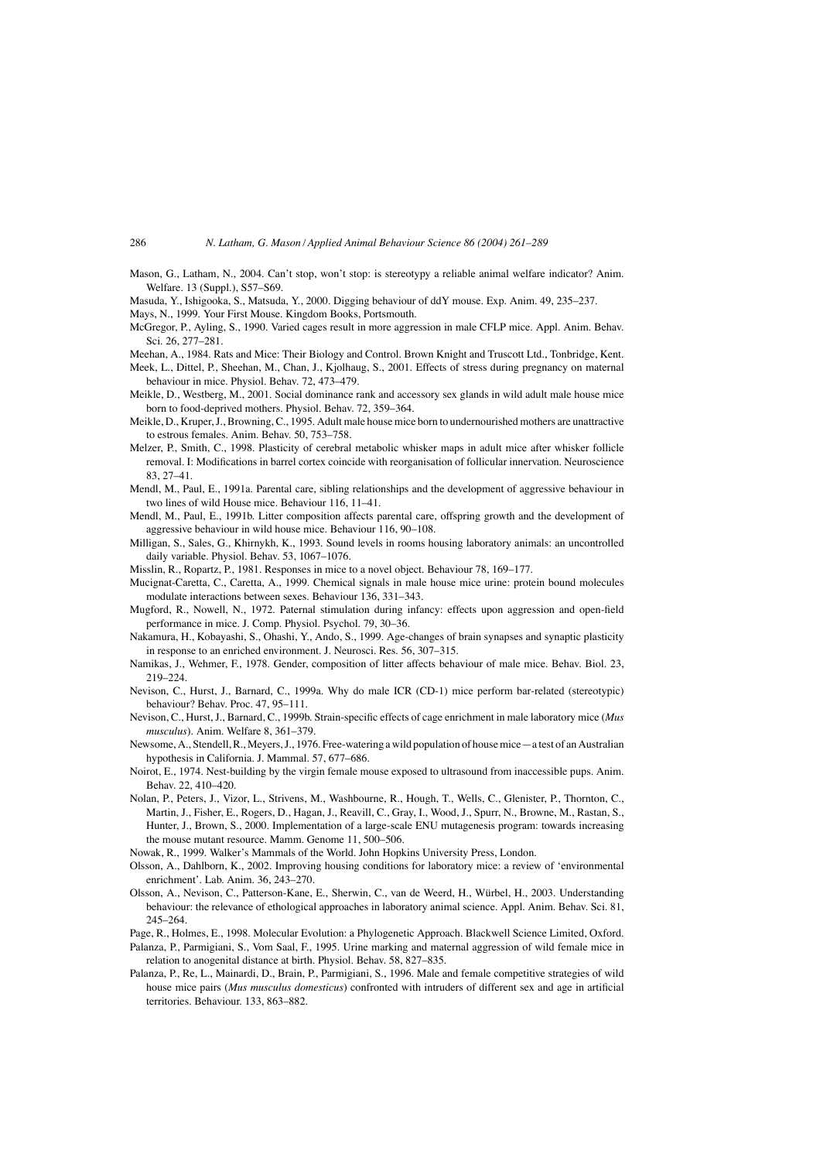- <span id="page-25-17"></span><span id="page-25-0"></span>Mason, G., Latham, N., 2004. Can't stop, won't stop: is stereotypy a reliable animal welfare indicator? Anim. Welfare. 13 (Suppl.), S57–S69.
- <span id="page-25-20"></span>Masuda, Y., Ishigooka, S., Matsuda, Y., 2000. Digging behaviour of ddY mouse. Exp. Anim. 49, 235–237.

- <span id="page-25-5"></span><span id="page-25-1"></span>McGregor, P., Ayling, S., 1990. Varied cages result in more aggression in male CFLP mice. Appl. Anim. Behav. Sci. 26, 277–281.
- Meehan, A., 1984. Rats and Mice: Their Biology and Control. Brown Knight and Truscott Ltd., Tonbridge, Kent.
- <span id="page-25-9"></span>Meek, L., Dittel, P., Sheehan, M., Chan, J., Kjolhaug, S., 2001. Effects of stress during pregnancy on maternal behaviour in mice. Physiol. Behav. 72, 473–479.
- <span id="page-25-8"></span>Meikle, D., Westberg, M., 2001. Social dominance rank and accessory sex glands in wild adult male house mice born to food-deprived mothers. Physiol. Behav. 72, 359–364.
- <span id="page-25-4"></span>Meikle, D., Kruper,J.,Browning,C., 1995. Adult male house mice born to undernourished mothers are unattractive to estrous females. Anim. Behav. 50, 753–758.
- <span id="page-25-16"></span>Melzer, P., Smith, C., 1998. Plasticity of cerebral metabolic whisker maps in adult mice after whisker follicle removal. I: Modifications in barrel cortex coincide with reorganisation of follicular innervation. Neuroscience 83, 27–41.
- <span id="page-25-7"></span>Mendl, M., Paul, E., 1991a. Parental care, sibling relationships and the development of aggressive behaviour in two lines of wild House mice. Behaviour 116, 11–41.
- <span id="page-25-24"></span>Mendl, M., Paul, E., 1991b. Litter composition affects parental care, offspring growth and the development of aggressive behaviour in wild house mice. Behaviour 116, 90–108.
- <span id="page-25-14"></span><span id="page-25-13"></span>Milligan, S., Sales, G., Khirnykh, K., 1993. Sound levels in rooms housing laboratory animals: an uncontrolled daily variable. Physiol. Behav. 53, 1067–1076.
- Misslin, R., Ropartz, P., 1981. Responses in mice to a novel object. Behaviour 78, 169–177.
- <span id="page-25-11"></span>Mucignat-Caretta, C., Caretta, A., 1999. Chemical signals in male house mice urine: protein bound molecules modulate interactions between sexes. Behaviour 136, 331–343.
- <span id="page-25-22"></span>Mugford, R., Nowell, N., 1972. Paternal stimulation during infancy: effects upon aggression and open-field performance in mice. J. Comp. Physiol. Psychol. 79, 30–36.
- <span id="page-25-10"></span>Nakamura, H., Kobayashi, S., Ohashi, Y., Ando, S., 1999. Age-changes of brain synapses and synaptic plasticity in response to an enriched environment. J. Neurosci. Res. 56, 307–315.
- <span id="page-25-18"></span>Namikas, J., Wehmer, F., 1978. Gender, composition of litter affects behaviour of male mice. Behav. Biol. 23, 219–224.
- <span id="page-25-21"></span>Nevison, C., Hurst, J., Barnard, C., 1999a. Why do male ICR (CD-1) mice perform bar-related (stereotypic) behaviour? Behav. Proc. 47, 95–111.
- <span id="page-25-12"></span>Nevison, C., Hurst, J., Barnard, C., 1999b. Strain-specific effects of cage enrichment in male laboratory mice (*Mus musculus*). Anim. Welfare 8, 361–379.
- <span id="page-25-15"></span>Newsome, A., Stendell,R.,Meyers,J., 1976. Free-watering a wild population of housemice—a test of an Australian hypothesis in California. J. Mammal. 57, 677–686.
- <span id="page-25-23"></span>Noirot, E., 1974. Nest-building by the virgin female mouse exposed to ultrasound from inaccessible pups. Anim. Behav. 22, 410–420.
- Nolan, P., Peters, J., Vizor, L., Strivens, M., Washbourne, R., Hough, T., Wells, C., Glenister, P., Thornton, C., Martin, J., Fisher, E., Rogers, D., Hagan, J., Reavill, C., Gray, I., Wood, J., Spurr, N., Browne, M., Rastan, S., Hunter, J., Brown, S., 2000. Implementation of a large-scale ENU mutagenesis program: towards increasing the mouse mutant resource. Mamm. Genome 11, 500–506.
- <span id="page-25-19"></span>Nowak, R., 1999. Walker's Mammals of the World. John Hopkins University Press, London.
- <span id="page-25-3"></span>Olsson, A., Dahlborn, K., 2002. Improving housing conditions for laboratory mice: a review of 'environmental enrichment'. Lab. Anim. 36, 243–270.
- <span id="page-25-2"></span>Olsson, A., Nevison, C., Patterson-Kane, E., Sherwin, C., van de Weerd, H., Würbel, H., 2003. Understanding behaviour: the relevance of ethological approaches in laboratory animal science. Appl. Anim. Behav. Sci. 81, 245–264.
- <span id="page-25-6"></span>Page, R., Holmes, E., 1998. Molecular Evolution: a Phylogenetic Approach. Blackwell Science Limited, Oxford.
- Palanza, P., Parmigiani, S., Vom Saal, F., 1995. Urine marking and maternal aggression of wild female mice in relation to anogenital distance at birth. Physiol. Behav. 58, 827–835.
- Palanza, P., Re, L., Mainardi, D., Brain, P., Parmigiani, S., 1996. Male and female competitive strategies of wild house mice pairs (*Mus musculus domesticus*) confronted with intruders of different sex and age in artificial territories. Behaviour. 133, 863–882.

Mays, N., 1999. Your First Mouse. Kingdom Books, Portsmouth.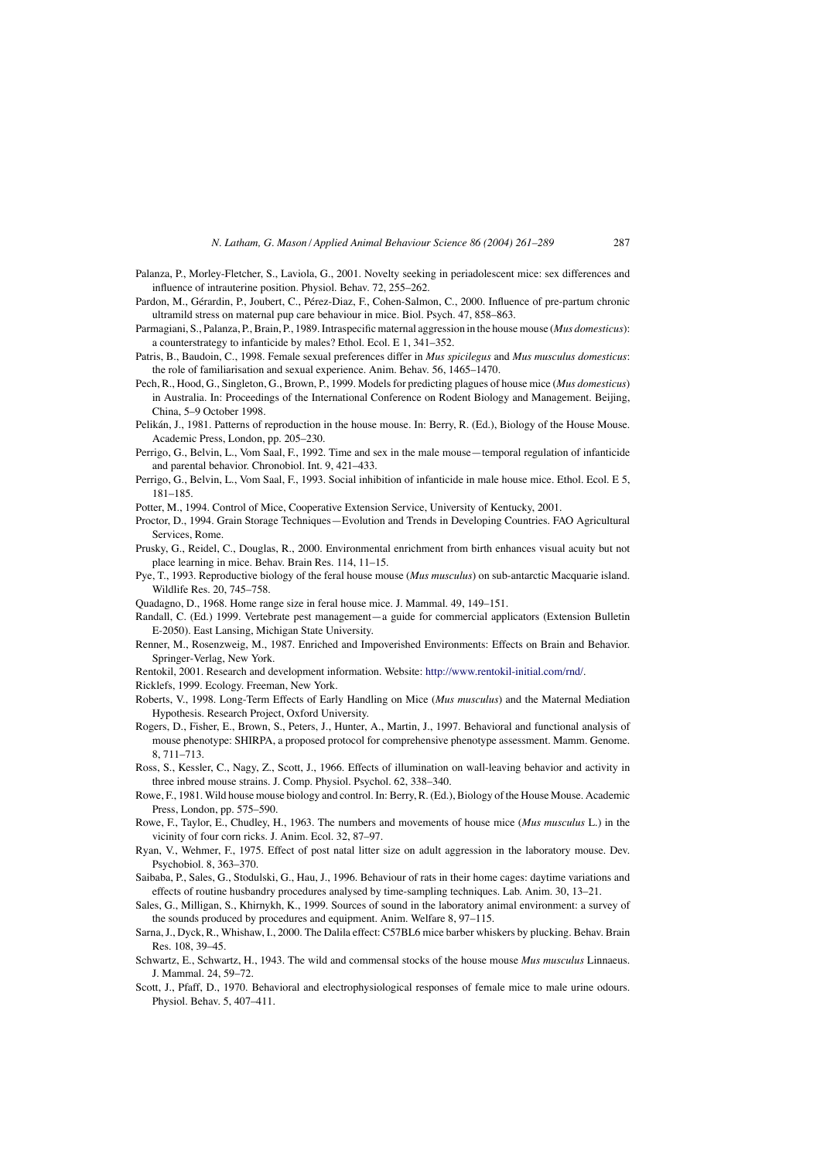- <span id="page-26-14"></span><span id="page-26-5"></span>Palanza, P., Morley-Fletcher, S., Laviola, G., 2001. Novelty seeking in periadolescent mice: sex differences and influence of intrauterine position. Physiol. Behav. 72, 255–262.
- <span id="page-26-13"></span>Pardon, M., Gérardin, P., Joubert, C., Pérez-Diaz, F., Cohen-Salmon, C., 2000. Influence of pre-partum chronic ultramild stress on maternal pup care behaviour in mice. Biol. Psych. 47, 858–863.
- <span id="page-26-9"></span>Parmagiani, S., Palanza, P.,Brain, P., 1989.Intraspecific maternal aggression in the house mouse (*Mus domesticus*): a counterstrategy to infanticide by males? Ethol. Ecol. E 1, 341–352.
- Patris, B., Baudoin, C., 1998. Female sexual preferences differ in *Mus spicilegus* and *Mus musculus domesticus*: the role of familiarisation and sexual experience. Anim. Behav. 56, 1465–1470.
- <span id="page-26-10"></span>Pech, R., Hood, G., Singleton, G., Brown, P., 1999. Models for predicting plagues of house mice (*Mus domesticus*) in Australia. In: Proceedings of the International Conference on Rodent Biology and Management. Beijing, China, 5–9 October 1998.
- <span id="page-26-15"></span>Pelikán, J., 1981. Patterns of reproduction in the house mouse. In: Berry, R. (Ed.), Biology of the House Mouse. Academic Press, London, pp. 205–230.
- Perrigo, G., Belvin, L., Vom Saal, F., 1992. Time and sex in the male mouse—temporal regulation of infanticide and parental behavior. Chronobiol. Int. 9, 421–433.
- <span id="page-26-7"></span><span id="page-26-2"></span>Perrigo, G., Belvin, L., Vom Saal, F., 1993. Social inhibition of infanticide in male house mice. Ethol. Ecol. E 5, 181–185.
- Potter, M., 1994. Control of Mice, Cooperative Extension Service, University of Kentucky, 2001.
- <span id="page-26-18"></span>Proctor, D., 1994. Grain Storage Techniques—Evolution and Trends in Developing Countries. FAO Agricultural Services, Rome.
- <span id="page-26-11"></span>Prusky, G., Reidel, C., Douglas, R., 2000. Environmental enrichment from birth enhances visual acuity but not place learning in mice. Behav. Brain Res. 114, 11–15.
- <span id="page-26-8"></span><span id="page-26-1"></span>Pye, T., 1993. Reproductive biology of the feral house mouse (*Mus musculus*) on sub-antarctic Macquarie island. Wildlife Res. 20, 745–758.
- Quadagno, D., 1968. Home range size in feral house mice. J. Mammal. 49, 149–151.
- <span id="page-26-17"></span>Randall, C. (Ed.) 1999. Vertebrate pest management—a guide for commercial applicators (Extension Bulletin E-2050). East Lansing, Michigan State University.
- <span id="page-26-16"></span><span id="page-26-3"></span>Renner, M., Rosenzweig, M., 1987. Enriched and Impoverished Environments: Effects on Brain and Behavior. Springer-Verlag, New York.
- Rentokil, 2001. Research and development information. Website: <http://www.rentokil-initial.com/rnd/>.
- Ricklefs, 1999. Ecology. Freeman, New York.
- <span id="page-26-19"></span>Roberts, V., 1998. Long-Term Effects of Early Handling on Mice (*Mus musculus*) and the Maternal Mediation Hypothesis. Research Project, Oxford University.
- <span id="page-26-21"></span>Rogers, D., Fisher, E., Brown, S., Peters, J., Hunter, A., Martin, J., 1997. Behavioral and functional analysis of mouse phenotype: SHIRPA, a proposed protocol for comprehensive phenotype assessment. Mamm. Genome. 8, 711–713.
- Ross, S., Kessler, C., Nagy, Z., Scott, J., 1966. Effects of illumination on wall-leaving behavior and activity in three inbred mouse strains. J. Comp. Physiol. Psychol. 62, 338–340.
- <span id="page-26-6"></span>Rowe, F., 1981. Wild house mouse biology and control. In: Berry, R. (Ed.), Biology of the House Mouse. Academic Press, London, pp. 575–590.
- <span id="page-26-4"></span>Rowe, F., Taylor, E., Chudley, H., 1963. The numbers and movements of house mice (*Mus musculus* L.) in the vicinity of four corn ricks. J. Anim. Ecol. 32, 87–97.
- <span id="page-26-22"></span>Ryan, V., Wehmer, F., 1975. Effect of post natal litter size on adult aggression in the laboratory mouse. Dev. Psychobiol. 8, 363–370.
- <span id="page-26-20"></span>Saibaba, P., Sales, G., Stodulski, G., Hau, J., 1996. Behaviour of rats in their home cages: daytime variations and effects of routine husbandry procedures analysed by time-sampling techniques. Lab. Anim. 30, 13–21.
- Sales, G., Milligan, S., Khirnykh, K., 1999. Sources of sound in the laboratory animal environment: a survey of the sounds produced by procedures and equipment. Anim. Welfare 8, 97–115.
- <span id="page-26-0"></span>Sarna,J., Dyck, R., Whishaw, I., 2000. The Dalila effect: C57BL6 mice barber whiskers by plucking. Behav. Brain Res. 108, 39–45.
- <span id="page-26-12"></span>Schwartz, E., Schwartz, H., 1943. The wild and commensal stocks of the house mouse *Mus musculus* Linnaeus. J. Mammal. 24, 59–72.
- Scott, J., Pfaff, D., 1970. Behavioral and electrophysiological responses of female mice to male urine odours. Physiol. Behav. 5, 407–411.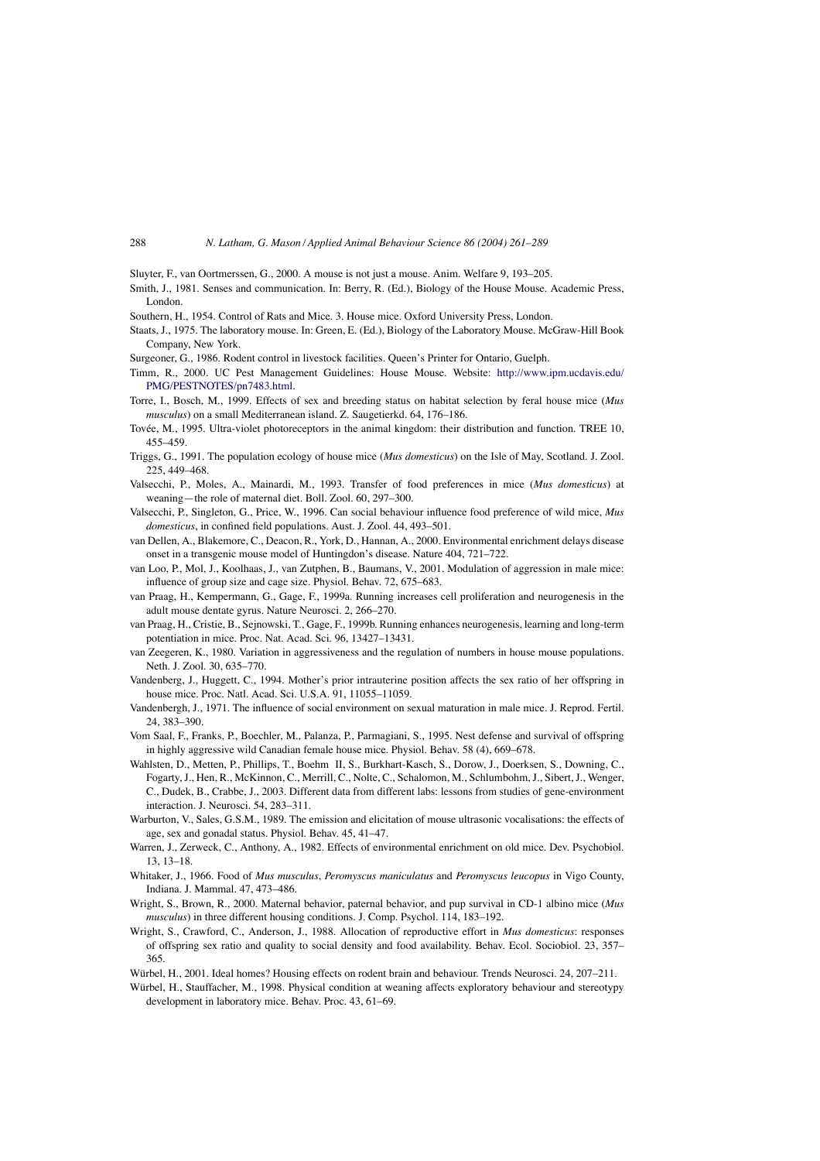- <span id="page-27-4"></span><span id="page-27-1"></span>Sluyter, F., van Oortmerssen, G., 2000. A mouse is not just a mouse. Anim. Welfare 9, 193–205.
- <span id="page-27-0"></span>Smith, J., 1981. Senses and communication. In: Berry, R. (Ed.), Biology of the House Mouse. Academic Press, London.
- Southern, H., 1954. Control of Rats and Mice. 3. House mice. Oxford University Press, London.
- <span id="page-27-16"></span><span id="page-27-11"></span>Staats, J., 1975. The laboratory mouse. In: Green, E. (Ed.), Biology of the Laboratory Mouse. McGraw-Hill Book Company, New York.
- Surgeoner, G., 1986. Rodent control in livestock facilities. Queen's Printer for Ontario, Guelph.
- Timm, R., 2000. UC Pest Management Guidelines: House Mouse. Website: [http://www.ipm.ucdavis.edu/](http://www.ipm.ucdavis.edu/PMG/PESTNOTES/pn7483.html) [PMG/PESTNOTES/pn7483.html](http://www.ipm.ucdavis.edu/PMG/PESTNOTES/pn7483.html).
- <span id="page-27-3"></span>Torre, I., Bosch, M., 1999. Effects of sex and breeding status on habitat selection by feral house mice (*Mus musculus*) on a small Mediterranean island. Z. Saugetierkd. 64, 176–186.
- <span id="page-27-10"></span>Tovée, M., 1995. Ultra-violet photoreceptors in the animal kingdom: their distribution and function. TREE 10, 455–459.
- <span id="page-27-5"></span>Triggs, G., 1991. The population ecology of house mice (*Mus domesticus*) on the Isle of May, Scotland. J. Zool. 225, 449–468.
- <span id="page-27-6"></span>Valsecchi, P., Moles, A., Mainardi, M., 1993. Transfer of food preferences in mice (*Mus domesticus*) at weaning—the role of maternal diet. Boll. Zool. 60, 297–300.
- <span id="page-27-18"></span>Valsecchi, P., Singleton, G., Price, W., 1996. Can social behaviour influence food preference of wild mice, *Mus domesticus*, in confined field populations. Aust. J. Zool. 44, 493–501.
- van Dellen, A., Blakemore, C., Deacon, R., York, D., Hannan, A., 2000. Environmental enrichment delays disease onset in a transgenic mouse model of Huntingdon's disease. Nature 404, 721–722.
- <span id="page-27-17"></span>van Loo, P., Mol, J., Koolhaas, J., van Zutphen, B., Baumans, V., 2001. Modulation of aggression in male mice: influence of group size and cage size. Physiol. Behav. 72, 675–683.
- van Praag, H., Kempermann, G., Gage, F., 1999a. Running increases cell proliferation and neurogenesis in the adult mouse dentate gyrus. Nature Neurosci. 2, 266–270.
- <span id="page-27-2"></span>van Praag, H., Cristie, B., Sejnowski, T., Gage, F., 1999b. Running enhances neurogenesis, learning and long-term potentiation in mice. Proc. Nat. Acad. Sci. 96, 13427–13431.
- <span id="page-27-7"></span>van Zeegeren, K., 1980. Variation in aggressiveness and the regulation of numbers in house mouse populations. Neth. J. Zool. 30, 635–770.
- <span id="page-27-9"></span>Vandenberg, J., Huggett, C., 1994. Mother's prior intrauterine position affects the sex ratio of her offspring in house mice. Proc. Natl. Acad. Sci. U.S.A. 91, 11055–11059.
- <span id="page-27-14"></span>Vandenbergh, J., 1971. The influence of social environment on sexual maturation in male mice. J. Reprod. Fertil. 24, 383–390.
- <span id="page-27-20"></span>Vom Saal, F., Franks, P., Boechler, M., Palanza, P., Parmagiani, S., 1995. Nest defense and survival of offspring in highly aggressive wild Canadian female house mice. Physiol. Behav. 58 (4), 669–678.
- <span id="page-27-13"></span>Wahlsten, D., Metten, P., Phillips, T., Boehm II, S., Burkhart-Kasch, S., Dorow, J., Doerksen, S., Downing, C., Fogarty, J., Hen, R., McKinnon, C., Merrill, C., Nolte, C., Schalomon, M., Schlumbohm, J., Sibert, J., Wenger, C., Dudek, B., Crabbe, J., 2003. Different data from different labs: lessons from studies of gene-environment interaction. J. Neurosci. 54, 283–311.
- Warburton, V., Sales, G.S.M., 1989. The emission and elicitation of mouse ultrasonic vocalisations: the effects of age, sex and gonadal status. Physiol. Behav. 45, 41–47.
- <span id="page-27-12"></span>Warren, J., Zerweck, C., Anthony, A., 1982. Effects of environmental enrichment on old mice. Dev. Psychobiol. 13, 13–18.
- <span id="page-27-15"></span>Whitaker, J., 1966. Food of *Mus musculus*, *Peromyscus maniculatus* and *Peromyscus leucopus* in Vigo County, Indiana. J. Mammal. 47, 473–486.
- <span id="page-27-8"></span>Wright, S., Brown, R., 2000. Maternal behavior, paternal behavior, and pup survival in CD-1 albino mice (*Mus musculus*) in three different housing conditions. J. Comp. Psychol. 114, 183–192.
- <span id="page-27-19"></span>Wright, S., Crawford, C., Anderson, J., 1988. Allocation of reproductive effort in *Mus domesticus*: responses of offspring sex ratio and quality to social density and food availability. Behav. Ecol. Sociobiol. 23, 357– 365.
- Würbel, H., 2001. Ideal homes? Housing effects on rodent brain and behaviour. Trends Neurosci. 24, 207–211.
- Würbel, H., Stauffacher, M., 1998. Physical condition at weaning affects exploratory behaviour and stereotypy development in laboratory mice. Behav. Proc. 43, 61–69.